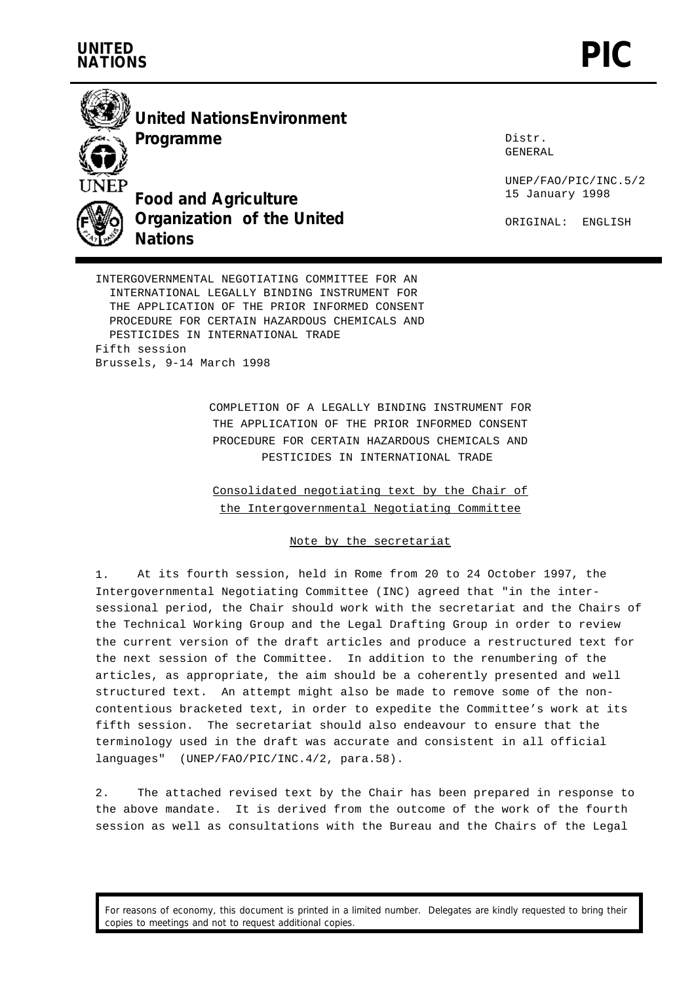



**United NationsEnvironment**

**Programme**

**Food and Agriculture Organization of the United Nations**

Distr. GENERAL

UNEP/FAO/PIC/INC.5/2 15 January 1998

ORIGINAL: ENGLISH

INTERGOVERNMENTAL NEGOTIATING COMMITTEE FOR AN INTERNATIONAL LEGALLY BINDING INSTRUMENT FOR THE APPLICATION OF THE PRIOR INFORMED CONSENT PROCEDURE FOR CERTAIN HAZARDOUS CHEMICALS AND PESTICIDES IN INTERNATIONAL TRADE Fifth session Brussels, 9-14 March 1998

> COMPLETION OF A LEGALLY BINDING INSTRUMENT FOR THE APPLICATION OF THE PRIOR INFORMED CONSENT PROCEDURE FOR CERTAIN HAZARDOUS CHEMICALS AND PESTICIDES IN INTERNATIONAL TRADE

Consolidated negotiating text by the Chair of the Intergovernmental Negotiating Committee

## Note by the secretariat

1. At its fourth session, held in Rome from 20 to 24 October 1997, the Intergovernmental Negotiating Committee (INC) agreed that "in the intersessional period, the Chair should work with the secretariat and the Chairs of the Technical Working Group and the Legal Drafting Group in order to review the current version of the draft articles and produce a restructured text for the next session of the Committee. In addition to the renumbering of the articles, as appropriate, the aim should be a coherently presented and well structured text. An attempt might also be made to remove some of the noncontentious bracketed text, in order to expedite the Committee's work at its fifth session. The secretariat should also endeavour to ensure that the terminology used in the draft was accurate and consistent in all official languages" (UNEP/FAO/PIC/INC.4/2, para.58).

2. The attached revised text by the Chair has been prepared in response to the above mandate. It is derived from the outcome of the work of the fourth session as well as consultations with the Bureau and the Chairs of the Legal

For reasons of economy, this document is printed in a limited number. Delegates are kindly requested to bring their copies to meetings and not to request additional copies.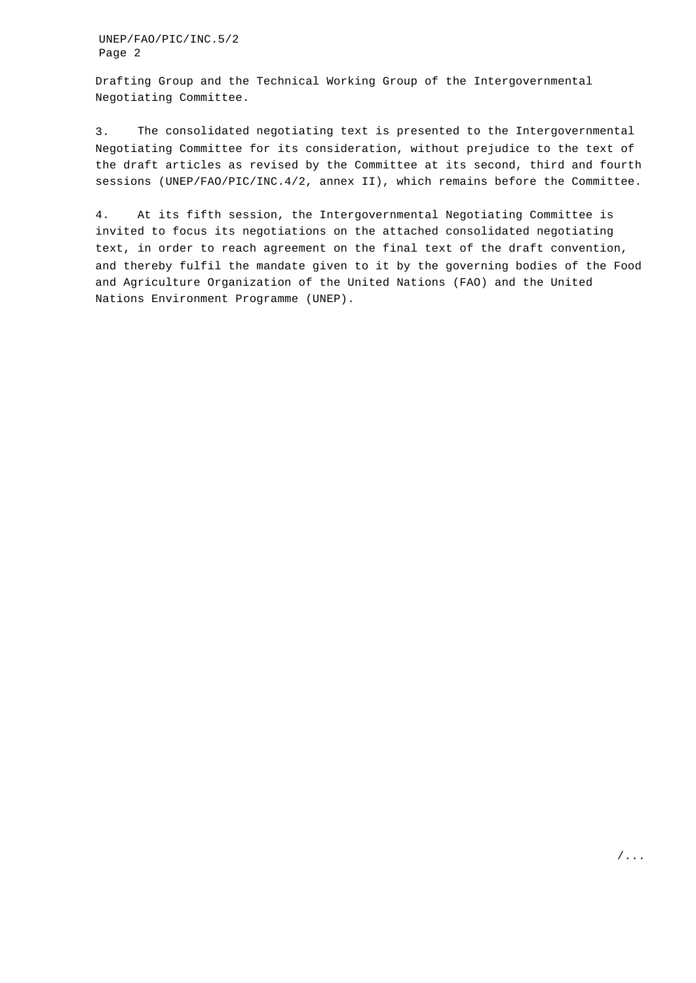Drafting Group and the Technical Working Group of the Intergovernmental Negotiating Committee.

3. The consolidated negotiating text is presented to the Intergovernmental Negotiating Committee for its consideration, without prejudice to the text of the draft articles as revised by the Committee at its second, third and fourth sessions (UNEP/FAO/PIC/INC.4/2, annex II), which remains before the Committee.

4. At its fifth session, the Intergovernmental Negotiating Committee is invited to focus its negotiations on the attached consolidated negotiating text, in order to reach agreement on the final text of the draft convention, and thereby fulfil the mandate given to it by the governing bodies of the Food and Agriculture Organization of the United Nations (FAO) and the United Nations Environment Programme (UNEP).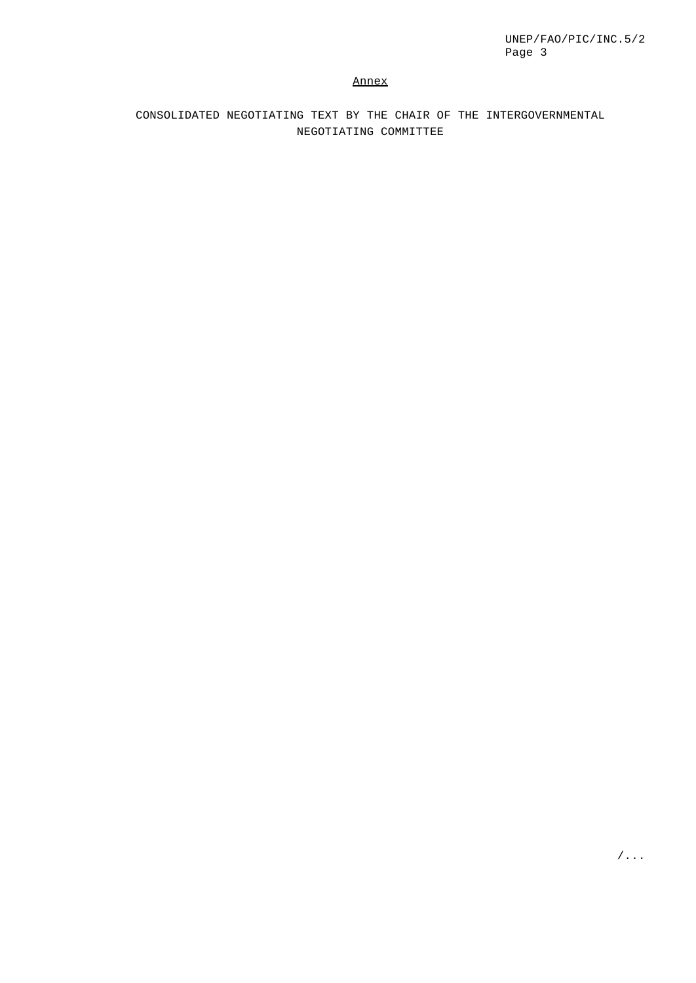## Annex

CONSOLIDATED NEGOTIATING TEXT BY THE CHAIR OF THE INTERGOVERNMENTAL NEGOTIATING COMMITTEE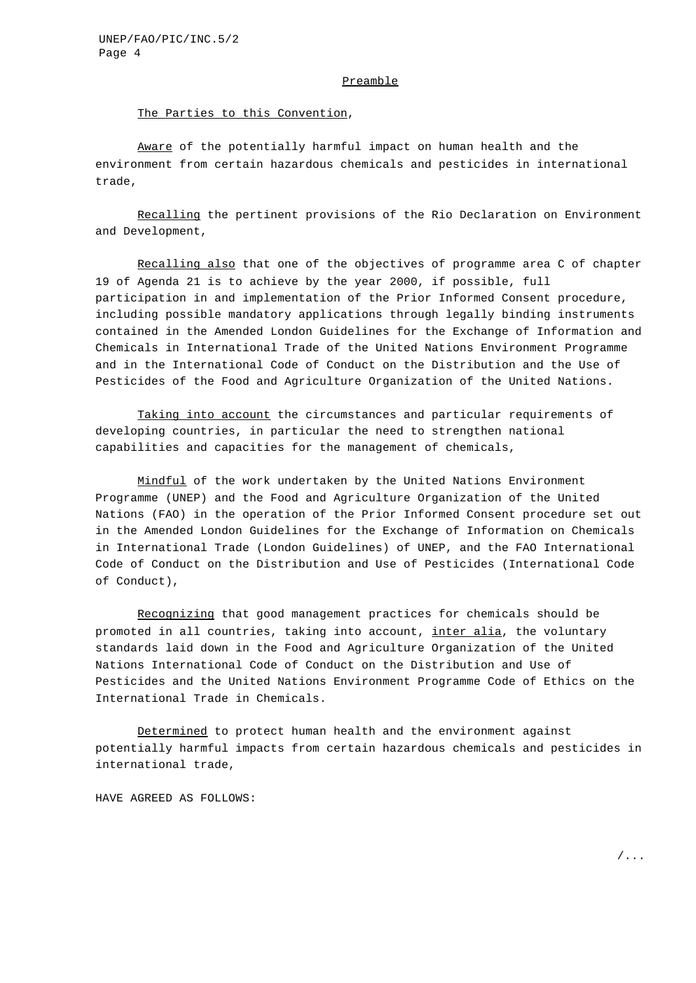#### Preamble

#### The Parties to this Convention,

Aware of the potentially harmful impact on human health and the environment from certain hazardous chemicals and pesticides in international trade,

Recalling the pertinent provisions of the Rio Declaration on Environment and Development,

Recalling also that one of the objectives of programme area C of chapter 19 of Agenda 21 is to achieve by the year 2000, if possible, full participation in and implementation of the Prior Informed Consent procedure, including possible mandatory applications through legally binding instruments contained in the Amended London Guidelines for the Exchange of Information and Chemicals in International Trade of the United Nations Environment Programme and in the International Code of Conduct on the Distribution and the Use of Pesticides of the Food and Agriculture Organization of the United Nations.

Taking into account the circumstances and particular requirements of developing countries, in particular the need to strengthen national capabilities and capacities for the management of chemicals,

Mindful of the work undertaken by the United Nations Environment Programme (UNEP) and the Food and Agriculture Organization of the United Nations (FAO) in the operation of the Prior Informed Consent procedure set out in the Amended London Guidelines for the Exchange of Information on Chemicals in International Trade (London Guidelines) of UNEP, and the FAO International Code of Conduct on the Distribution and Use of Pesticides (International Code of Conduct),

Recognizing that good management practices for chemicals should be promoted in all countries, taking into account, inter alia, the voluntary standards laid down in the Food and Agriculture Organization of the United Nations International Code of Conduct on the Distribution and Use of Pesticides and the United Nations Environment Programme Code of Ethics on the International Trade in Chemicals.

Determined to protect human health and the environment against potentially harmful impacts from certain hazardous chemicals and pesticides in international trade,

HAVE AGREED AS FOLLOWS: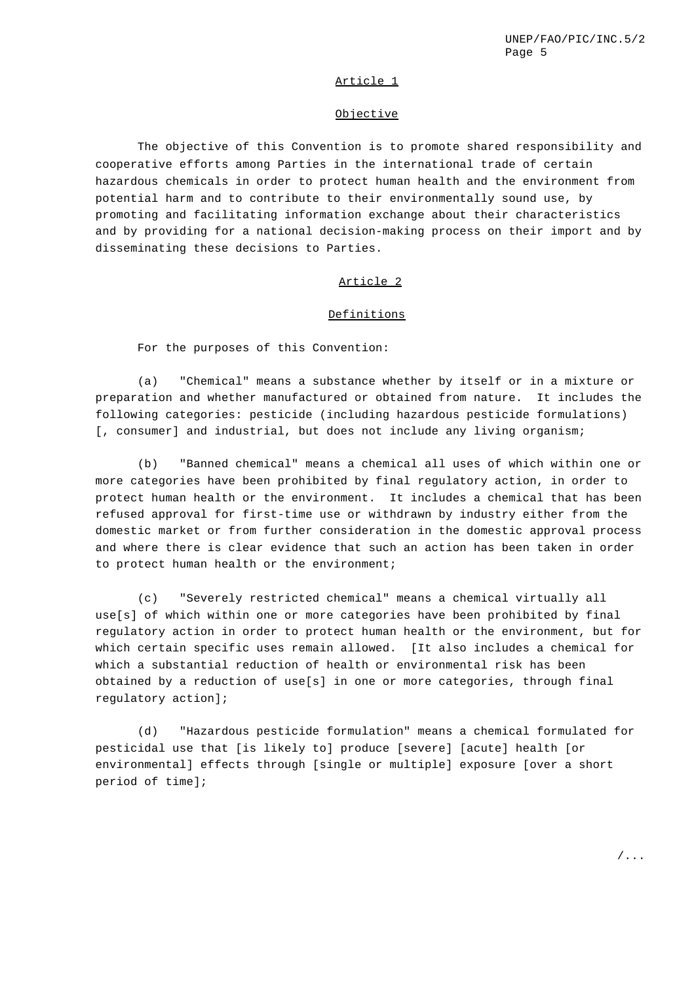### Article 1

### Objective

The objective of this Convention is to promote shared responsibility and cooperative efforts among Parties in the international trade of certain hazardous chemicals in order to protect human health and the environment from potential harm and to contribute to their environmentally sound use, by promoting and facilitating information exchange about their characteristics and by providing for a national decision-making process on their import and by disseminating these decisions to Parties.

## Article 2

### Definitions

For the purposes of this Convention:

(a) "Chemical" means a substance whether by itself or in a mixture or preparation and whether manufactured or obtained from nature. It includes the following categories: pesticide (including hazardous pesticide formulations) [, consumer] and industrial, but does not include any living organism;

(b) "Banned chemical" means a chemical all uses of which within one or more categories have been prohibited by final regulatory action, in order to protect human health or the environment. It includes a chemical that has been refused approval for first-time use or withdrawn by industry either from the domestic market or from further consideration in the domestic approval process and where there is clear evidence that such an action has been taken in order to protect human health or the environment;

(c) "Severely restricted chemical" means a chemical virtually all use[s] of which within one or more categories have been prohibited by final regulatory action in order to protect human health or the environment, but for which certain specific uses remain allowed. [It also includes a chemical for which a substantial reduction of health or environmental risk has been obtained by a reduction of use[s] in one or more categories, through final regulatory action];

(d) "Hazardous pesticide formulation" means a chemical formulated for pesticidal use that [is likely to] produce [severe] [acute] health [or environmental] effects through [single or multiple] exposure [over a short period of time];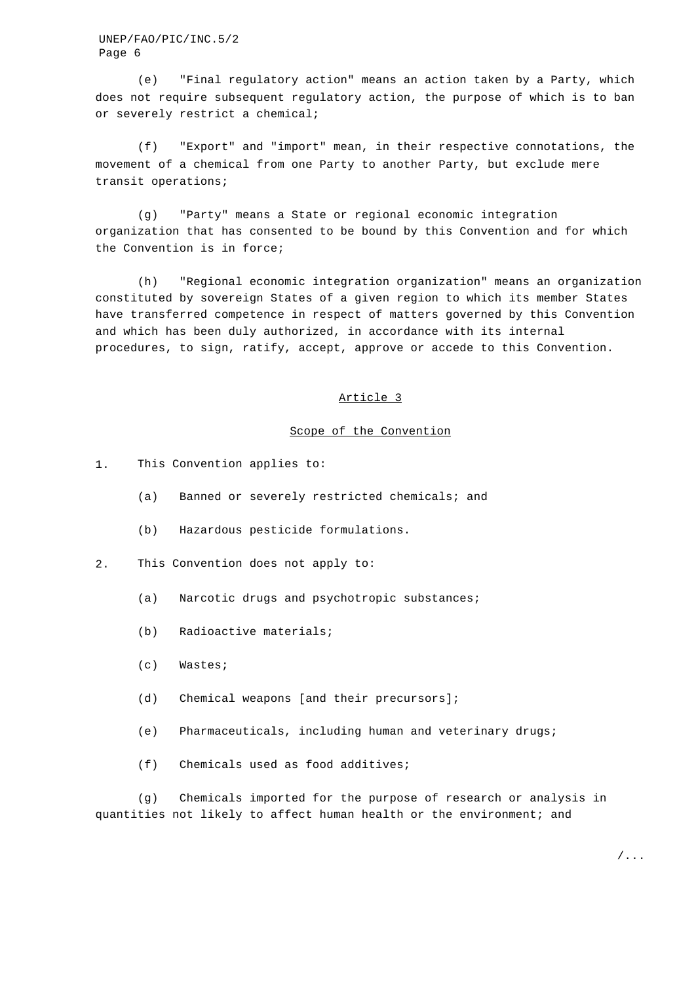(e) "Final regulatory action" means an action taken by a Party, which does not require subsequent regulatory action, the purpose of which is to ban or severely restrict a chemical;

(f) "Export" and "import" mean, in their respective connotations, the movement of a chemical from one Party to another Party, but exclude mere transit operations;

(g) "Party" means a State or regional economic integration organization that has consented to be bound by this Convention and for which the Convention is in force;

(h) "Regional economic integration organization" means an organization constituted by sovereign States of a given region to which its member States have transferred competence in respect of matters governed by this Convention and which has been duly authorized, in accordance with its internal procedures, to sign, ratify, accept, approve or accede to this Convention.

#### Article 3

### Scope of the Convention

- 1. This Convention applies to:
	- (a) Banned or severely restricted chemicals; and
	- (b) Hazardous pesticide formulations.
- 2. This Convention does not apply to:
	- (a) Narcotic drugs and psychotropic substances;
	- (b) Radioactive materials;
	- (c) Wastes;
	- (d) Chemical weapons [and their precursors];
	- (e) Pharmaceuticals, including human and veterinary drugs;
	- (f) Chemicals used as food additives;

(g) Chemicals imported for the purpose of research or analysis in quantities not likely to affect human health or the environment; and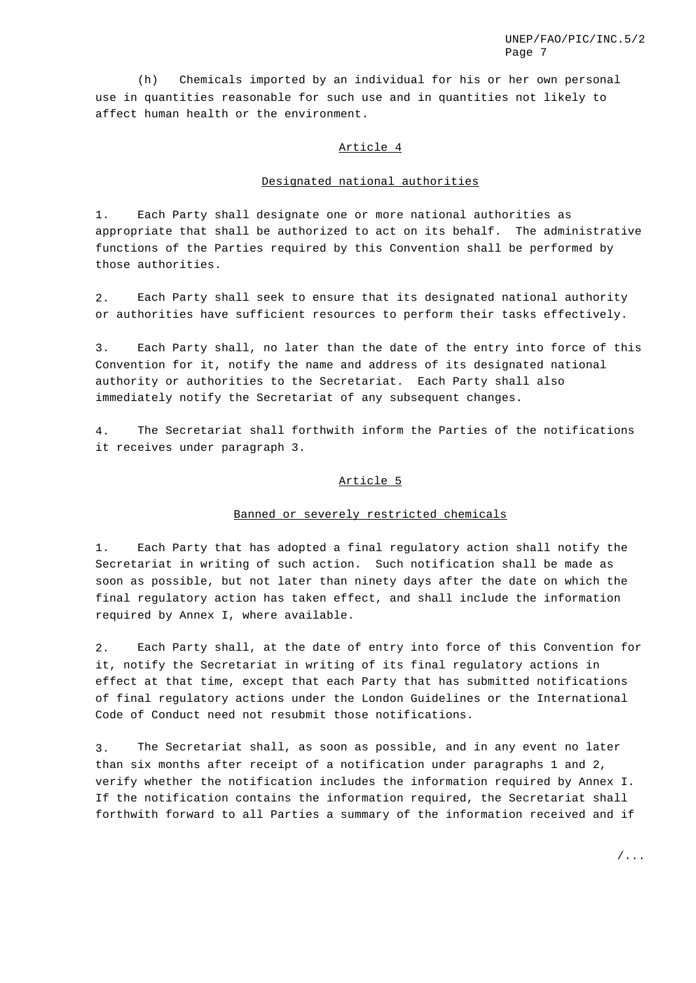(h) Chemicals imported by an individual for his or her own personal use in quantities reasonable for such use and in quantities not likely to affect human health or the environment.

## Article 4

### Designated national authorities

1. Each Party shall designate one or more national authorities as appropriate that shall be authorized to act on its behalf. The administrative functions of the Parties required by this Convention shall be performed by those authorities.

2. Each Party shall seek to ensure that its designated national authority or authorities have sufficient resources to perform their tasks effectively.

3. Each Party shall, no later than the date of the entry into force of this Convention for it, notify the name and address of its designated national authority or authorities to the Secretariat. Each Party shall also immediately notify the Secretariat of any subsequent changes.

4. The Secretariat shall forthwith inform the Parties of the notifications it receives under paragraph 3.

#### Article 5

#### Banned or severely restricted chemicals

1. Each Party that has adopted a final regulatory action shall notify the Secretariat in writing of such action. Such notification shall be made as soon as possible, but not later than ninety days after the date on which the final regulatory action has taken effect, and shall include the information required by Annex I, where available.

2. Each Party shall, at the date of entry into force of this Convention for it, notify the Secretariat in writing of its final regulatory actions in effect at that time, except that each Party that has submitted notifications of final regulatory actions under the London Guidelines or the International Code of Conduct need not resubmit those notifications.

3. The Secretariat shall, as soon as possible, and in any event no later than six months after receipt of a notification under paragraphs 1 and 2, verify whether the notification includes the information required by Annex I. If the notification contains the information required, the Secretariat shall forthwith forward to all Parties a summary of the information received and if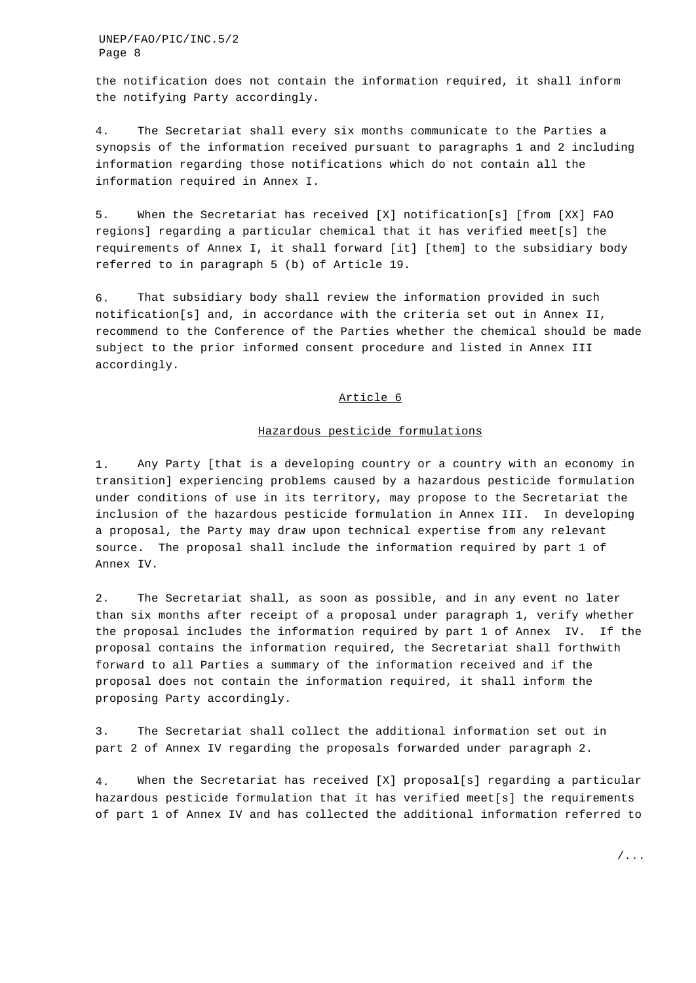the notification does not contain the information required, it shall inform the notifying Party accordingly.

4. The Secretariat shall every six months communicate to the Parties a synopsis of the information received pursuant to paragraphs 1 and 2 including information regarding those notifications which do not contain all the information required in Annex I.

5. When the Secretariat has received [X] notification[s] [from [XX] FAO regions] regarding a particular chemical that it has verified meet[s] the requirements of Annex I, it shall forward [it] [them] to the subsidiary body referred to in paragraph 5 (b) of Article 19.

6. That subsidiary body shall review the information provided in such notification[s] and, in accordance with the criteria set out in Annex II, recommend to the Conference of the Parties whether the chemical should be made subject to the prior informed consent procedure and listed in Annex III accordingly.

#### Article 6

#### Hazardous pesticide formulations

1. Any Party [that is a developing country or a country with an economy in transition] experiencing problems caused by a hazardous pesticide formulation under conditions of use in its territory, may propose to the Secretariat the inclusion of the hazardous pesticide formulation in Annex III. In developing a proposal, the Party may draw upon technical expertise from any relevant source. The proposal shall include the information required by part 1 of Annex IV.

2. The Secretariat shall, as soon as possible, and in any event no later than six months after receipt of a proposal under paragraph 1, verify whether the proposal includes the information required by part 1 of Annex IV. If the proposal contains the information required, the Secretariat shall forthwith forward to all Parties a summary of the information received and if the proposal does not contain the information required, it shall inform the proposing Party accordingly.

3. The Secretariat shall collect the additional information set out in part 2 of Annex IV regarding the proposals forwarded under paragraph 2.

4. When the Secretariat has received [X] proposal[s] regarding a particular hazardous pesticide formulation that it has verified meet[s] the requirements of part 1 of Annex IV and has collected the additional information referred to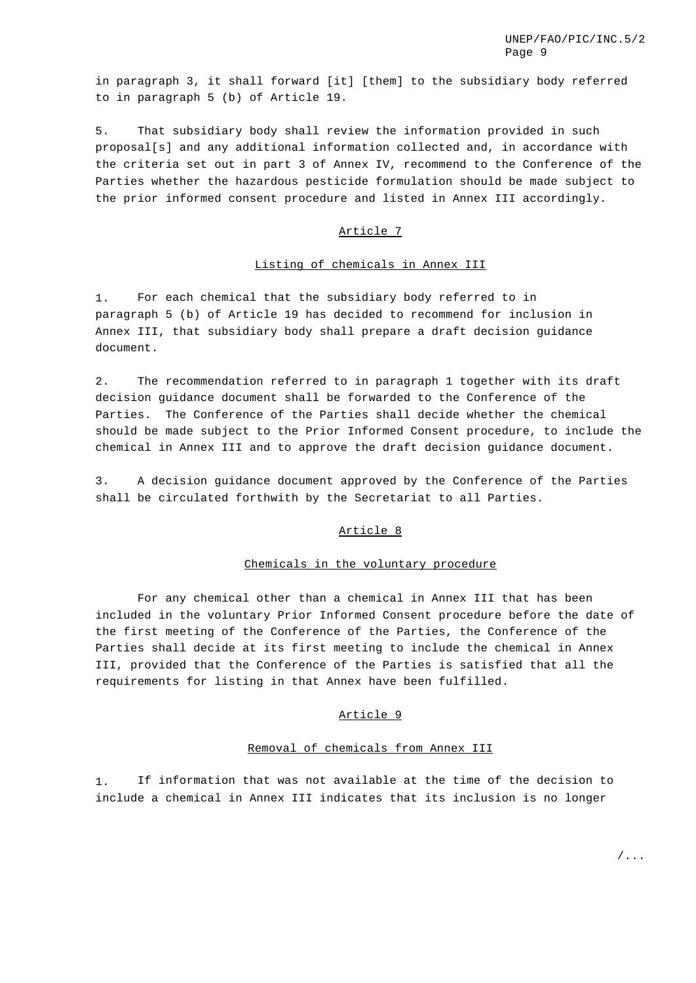in paragraph 3, it shall forward [it] [them] to the subsidiary body referred to in paragraph 5 (b) of Article 19.

5. That subsidiary body shall review the information provided in such proposal[s] and any additional information collected and, in accordance with the criteria set out in part 3 of Annex IV, recommend to the Conference of the Parties whether the hazardous pesticide formulation should be made subject to the prior informed consent procedure and listed in Annex III accordingly.

### Article 7

### Listing of chemicals in Annex III

1. For each chemical that the subsidiary body referred to in paragraph 5 (b) of Article 19 has decided to recommend for inclusion in Annex III, that subsidiary body shall prepare a draft decision guidance document.

2. The recommendation referred to in paragraph 1 together with its draft decision guidance document shall be forwarded to the Conference of the Parties. The Conference of the Parties shall decide whether the chemical should be made subject to the Prior Informed Consent procedure, to include the chemical in Annex III and to approve the draft decision guidance document.

3. A decision guidance document approved by the Conference of the Parties shall be circulated forthwith by the Secretariat to all Parties.

### Article 8

#### Chemicals in the voluntary procedure

For any chemical other than a chemical in Annex III that has been included in the voluntary Prior Informed Consent procedure before the date of the first meeting of the Conference of the Parties, the Conference of the Parties shall decide at its first meeting to include the chemical in Annex III, provided that the Conference of the Parties is satisfied that all the requirements for listing in that Annex have been fulfilled.

## Article 9

### Removal of chemicals from Annex III

1. If information that was not available at the time of the decision to include a chemical in Annex III indicates that its inclusion is no longer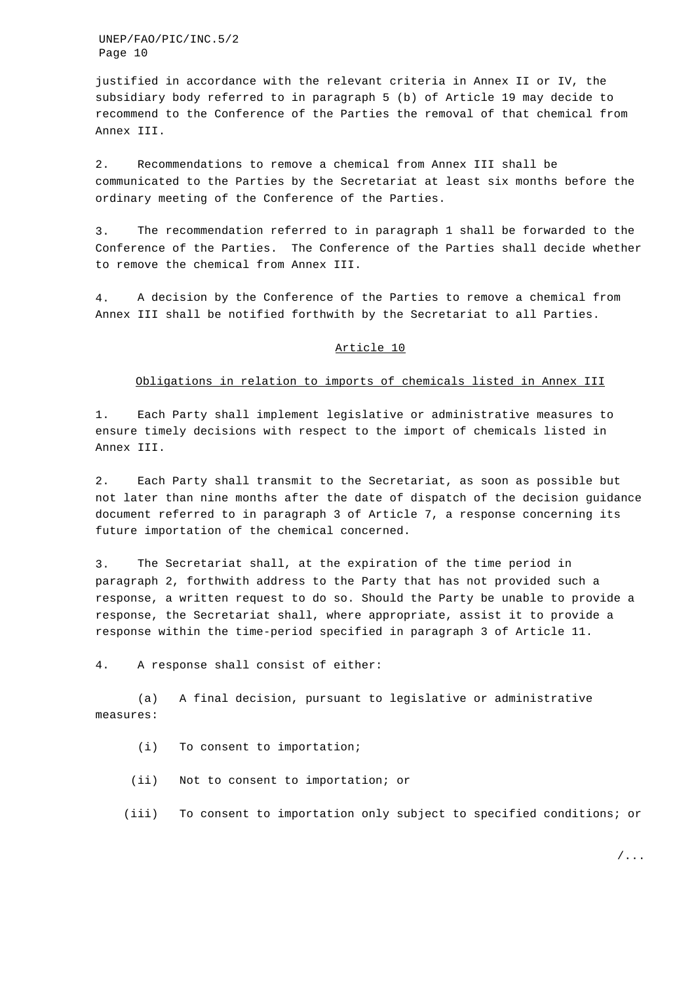justified in accordance with the relevant criteria in Annex II or IV, the subsidiary body referred to in paragraph 5 (b) of Article 19 may decide to recommend to the Conference of the Parties the removal of that chemical from Annex III.

2. Recommendations to remove a chemical from Annex III shall be communicated to the Parties by the Secretariat at least six months before the ordinary meeting of the Conference of the Parties.

3. The recommendation referred to in paragraph 1 shall be forwarded to the Conference of the Parties. The Conference of the Parties shall decide whether to remove the chemical from Annex III.

4. A decision by the Conference of the Parties to remove a chemical from Annex III shall be notified forthwith by the Secretariat to all Parties.

#### Article 10

### Obligations in relation to imports of chemicals listed in Annex III

1. Each Party shall implement legislative or administrative measures to ensure timely decisions with respect to the import of chemicals listed in Annex III.

2. Each Party shall transmit to the Secretariat, as soon as possible but not later than nine months after the date of dispatch of the decision guidance document referred to in paragraph 3 of Article 7, a response concerning its future importation of the chemical concerned.

3. The Secretariat shall, at the expiration of the time period in paragraph 2, forthwith address to the Party that has not provided such a response, a written request to do so. Should the Party be unable to provide a response, the Secretariat shall, where appropriate, assist it to provide a response within the time-period specified in paragraph 3 of Article 11.

4. A response shall consist of either:

(a) A final decision, pursuant to legislative or administrative measures:

(i) To consent to importation;

(ii) Not to consent to importation; or

(iii) To consent to importation only subject to specified conditions; or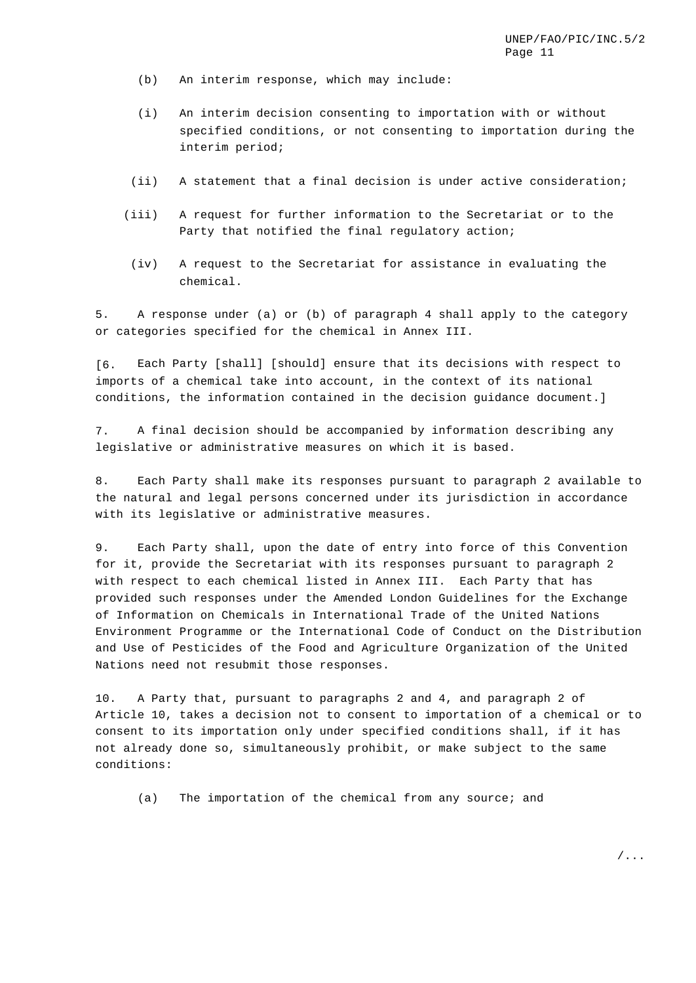- (b) An interim response, which may include:
- (i) An interim decision consenting to importation with or without specified conditions, or not consenting to importation during the interim period;
- (ii) A statement that a final decision is under active consideration;
- (iii) A request for further information to the Secretariat or to the Party that notified the final regulatory action;
- (iv) A request to the Secretariat for assistance in evaluating the chemical.

5. A response under (a) or (b) of paragraph 4 shall apply to the category or categories specified for the chemical in Annex III.

[6. Each Party [shall] [should] ensure that its decisions with respect to imports of a chemical take into account, in the context of its national conditions, the information contained in the decision guidance document.]

7. A final decision should be accompanied by information describing any legislative or administrative measures on which it is based.

8. Each Party shall make its responses pursuant to paragraph 2 available to the natural and legal persons concerned under its jurisdiction in accordance with its legislative or administrative measures.

9. Each Party shall, upon the date of entry into force of this Convention for it, provide the Secretariat with its responses pursuant to paragraph 2 with respect to each chemical listed in Annex III. Each Party that has provided such responses under the Amended London Guidelines for the Exchange of Information on Chemicals in International Trade of the United Nations Environment Programme or the International Code of Conduct on the Distribution and Use of Pesticides of the Food and Agriculture Organization of the United Nations need not resubmit those responses.

10. A Party that, pursuant to paragraphs 2 and 4, and paragraph 2 of Article 10, takes a decision not to consent to importation of a chemical or to consent to its importation only under specified conditions shall, if it has not already done so, simultaneously prohibit, or make subject to the same conditions:

(a) The importation of the chemical from any source; and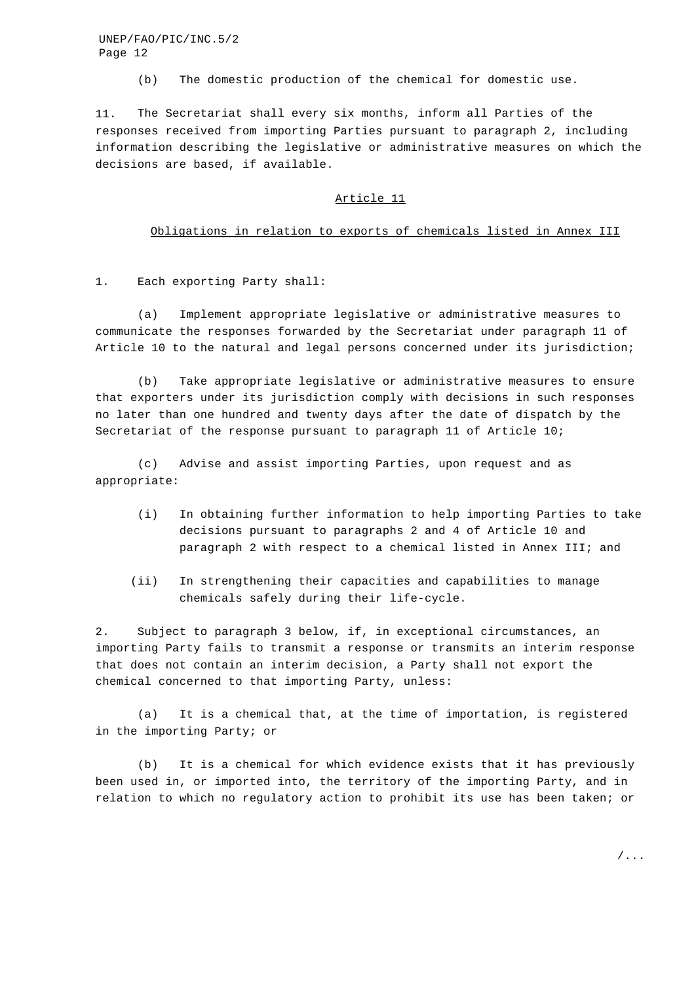(b) The domestic production of the chemical for domestic use.

11. The Secretariat shall every six months, inform all Parties of the responses received from importing Parties pursuant to paragraph 2, including information describing the legislative or administrative measures on which the decisions are based, if available.

#### Article 11

#### Obligations in relation to exports of chemicals listed in Annex III

1. Each exporting Party shall:

(a) Implement appropriate legislative or administrative measures to communicate the responses forwarded by the Secretariat under paragraph 11 of Article 10 to the natural and legal persons concerned under its jurisdiction;

(b) Take appropriate legislative or administrative measures to ensure that exporters under its jurisdiction comply with decisions in such responses no later than one hundred and twenty days after the date of dispatch by the Secretariat of the response pursuant to paragraph 11 of Article 10;

(c) Advise and assist importing Parties, upon request and as appropriate:

- (i) In obtaining further information to help importing Parties to take decisions pursuant to paragraphs 2 and 4 of Article 10 and paragraph 2 with respect to a chemical listed in Annex III; and
- (ii) In strengthening their capacities and capabilities to manage chemicals safely during their life-cycle.

2. Subject to paragraph 3 below, if, in exceptional circumstances, an importing Party fails to transmit a response or transmits an interim response that does not contain an interim decision, a Party shall not export the chemical concerned to that importing Party, unless:

(a) It is a chemical that, at the time of importation, is registered in the importing Party; or

(b) It is a chemical for which evidence exists that it has previously been used in, or imported into, the territory of the importing Party, and in relation to which no regulatory action to prohibit its use has been taken; or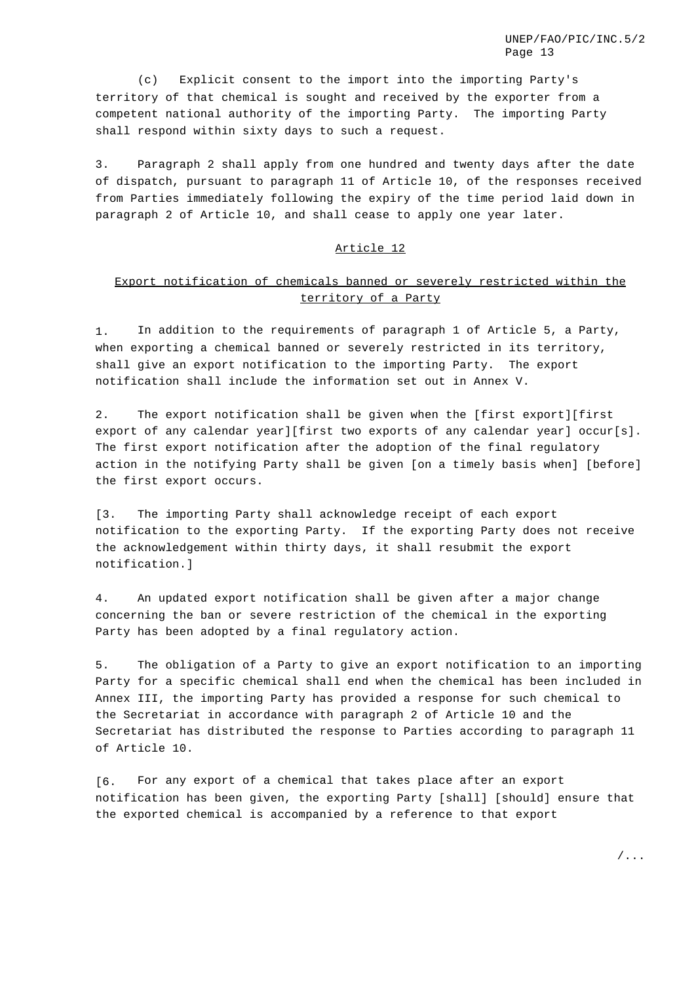(c) Explicit consent to the import into the importing Party's territory of that chemical is sought and received by the exporter from a competent national authority of the importing Party. The importing Party shall respond within sixty days to such a request.

3. Paragraph 2 shall apply from one hundred and twenty days after the date of dispatch, pursuant to paragraph 11 of Article 10, of the responses received from Parties immediately following the expiry of the time period laid down in paragraph 2 of Article 10, and shall cease to apply one year later.

## Article 12

# Export notification of chemicals banned or severely restricted within the territory of a Party

1. In addition to the requirements of paragraph 1 of Article 5, a Party, when exporting a chemical banned or severely restricted in its territory, shall give an export notification to the importing Party. The export notification shall include the information set out in Annex V.

2. The export notification shall be given when the [first export][first export of any calendar year][first two exports of any calendar year] occur[s]. The first export notification after the adoption of the final regulatory action in the notifying Party shall be given [on a timely basis when] [before] the first export occurs.

[3. The importing Party shall acknowledge receipt of each export notification to the exporting Party. If the exporting Party does not receive the acknowledgement within thirty days, it shall resubmit the export notification.]

4. An updated export notification shall be given after a major change concerning the ban or severe restriction of the chemical in the exporting Party has been adopted by a final regulatory action.

5. The obligation of a Party to give an export notification to an importing Party for a specific chemical shall end when the chemical has been included in Annex III, the importing Party has provided a response for such chemical to the Secretariat in accordance with paragraph 2 of Article 10 and the Secretariat has distributed the response to Parties according to paragraph 11 of Article 10.

[6. For any export of a chemical that takes place after an export notification has been given, the exporting Party [shall] [should] ensure that the exported chemical is accompanied by a reference to that export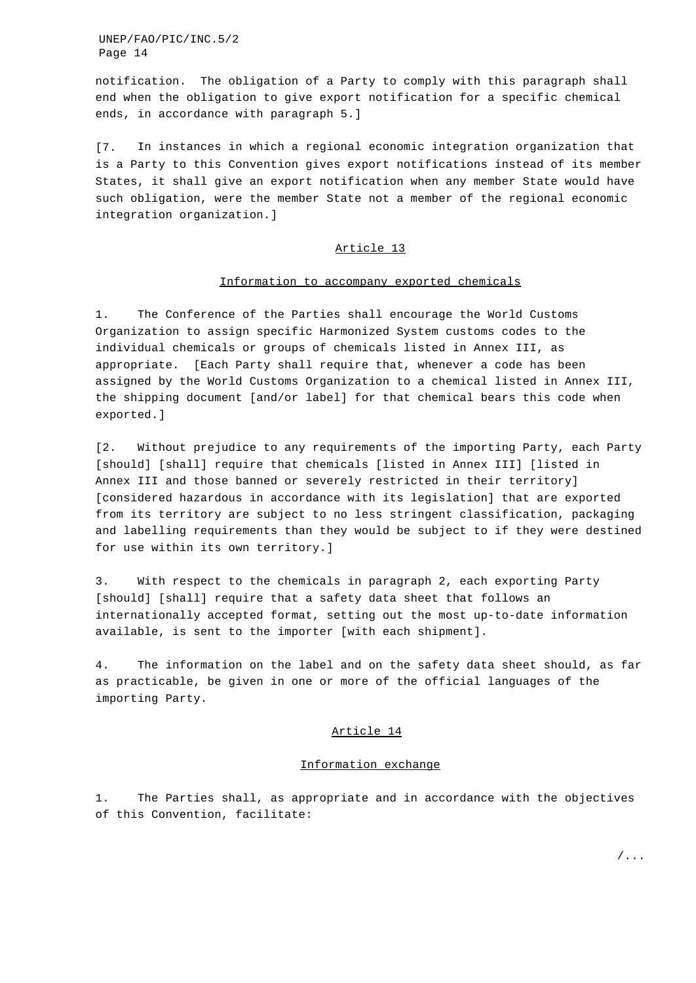notification. The obligation of a Party to comply with this paragraph shall end when the obligation to give export notification for a specific chemical ends, in accordance with paragraph 5.]

[7. In instances in which a regional economic integration organization that is a Party to this Convention gives export notifications instead of its member States, it shall give an export notification when any member State would have such obligation, were the member State not a member of the regional economic integration organization.]

## Article 13

#### Information to accompany exported chemicals

1. The Conference of the Parties shall encourage the World Customs Organization to assign specific Harmonized System customs codes to the individual chemicals or groups of chemicals listed in Annex III, as appropriate. [Each Party shall require that, whenever a code has been assigned by the World Customs Organization to a chemical listed in Annex III, the shipping document [and/or label] for that chemical bears this code when exported.]

[2. Without prejudice to any requirements of the importing Party, each Party [should] [shall] require that chemicals [listed in Annex III] [listed in Annex III and those banned or severely restricted in their territory] [considered hazardous in accordance with its legislation] that are exported from its territory are subject to no less stringent classification, packaging and labelling requirements than they would be subject to if they were destined for use within its own territory.]

3. With respect to the chemicals in paragraph 2, each exporting Party [should] [shall] require that a safety data sheet that follows an internationally accepted format, setting out the most up-to-date information available, is sent to the importer [with each shipment].

4. The information on the label and on the safety data sheet should, as far as practicable, be given in one or more of the official languages of the importing Party.

#### Article 14

## Information exchange

1. The Parties shall, as appropriate and in accordance with the objectives of this Convention, facilitate: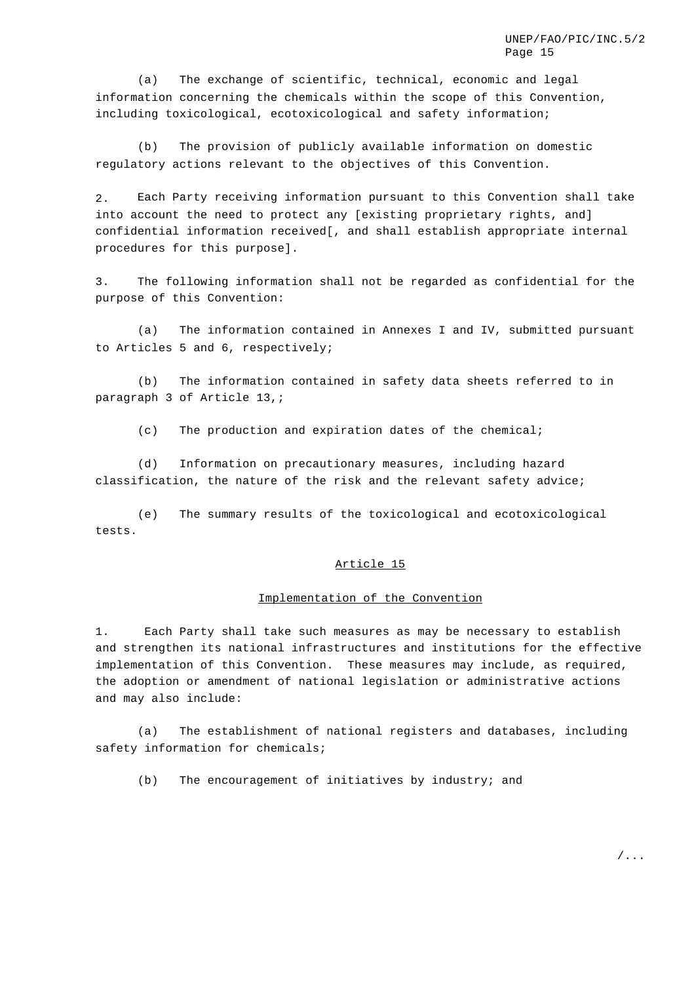(a) The exchange of scientific, technical, economic and legal information concerning the chemicals within the scope of this Convention, including toxicological, ecotoxicological and safety information;

(b) The provision of publicly available information on domestic regulatory actions relevant to the objectives of this Convention.

2. Each Party receiving information pursuant to this Convention shall take into account the need to protect any [existing proprietary rights, and] confidential information received[, and shall establish appropriate internal procedures for this purpose].

3. The following information shall not be regarded as confidential for the purpose of this Convention:

(a) The information contained in Annexes I and IV, submitted pursuant to Articles 5 and 6, respectively;

(b) The information contained in safety data sheets referred to in paragraph 3 of Article 13,;

(c) The production and expiration dates of the chemical;

(d) Information on precautionary measures, including hazard classification, the nature of the risk and the relevant safety advice;

(e) The summary results of the toxicological and ecotoxicological tests.

#### Article 15

#### Implementation of the Convention

1. Each Party shall take such measures as may be necessary to establish and strengthen its national infrastructures and institutions for the effective implementation of this Convention. These measures may include, as required, the adoption or amendment of national legislation or administrative actions and may also include:

(a) The establishment of national registers and databases, including safety information for chemicals;

(b) The encouragement of initiatives by industry; and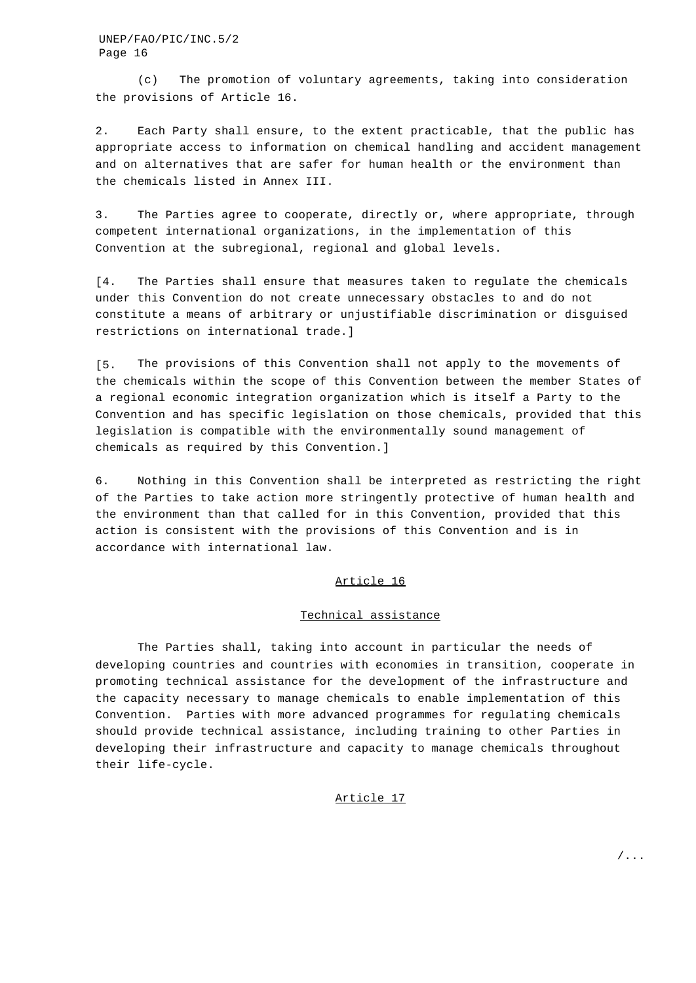(c) The promotion of voluntary agreements, taking into consideration the provisions of Article 16.

2. Each Party shall ensure, to the extent practicable, that the public has appropriate access to information on chemical handling and accident management and on alternatives that are safer for human health or the environment than the chemicals listed in Annex III.

3. The Parties agree to cooperate, directly or, where appropriate, through competent international organizations, in the implementation of this Convention at the subregional, regional and global levels.

[4. The Parties shall ensure that measures taken to regulate the chemicals under this Convention do not create unnecessary obstacles to and do not constitute a means of arbitrary or unjustifiable discrimination or disguised restrictions on international trade.]

[5. The provisions of this Convention shall not apply to the movements of the chemicals within the scope of this Convention between the member States of a regional economic integration organization which is itself a Party to the Convention and has specific legislation on those chemicals, provided that this legislation is compatible with the environmentally sound management of chemicals as required by this Convention.]

6. Nothing in this Convention shall be interpreted as restricting the right of the Parties to take action more stringently protective of human health and the environment than that called for in this Convention, provided that this action is consistent with the provisions of this Convention and is in accordance with international law.

## Article 16

#### Technical assistance

The Parties shall, taking into account in particular the needs of developing countries and countries with economies in transition, cooperate in promoting technical assistance for the development of the infrastructure and the capacity necessary to manage chemicals to enable implementation of this Convention. Parties with more advanced programmes for regulating chemicals should provide technical assistance, including training to other Parties in developing their infrastructure and capacity to manage chemicals throughout their life-cycle.

### Article 17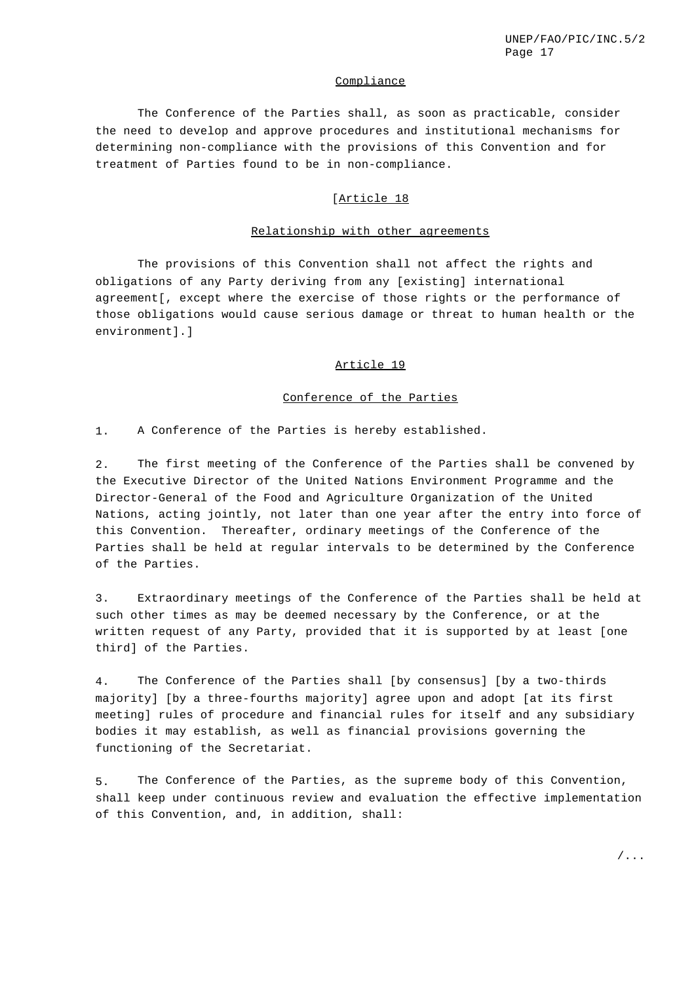### **Compliance**

The Conference of the Parties shall, as soon as practicable, consider the need to develop and approve procedures and institutional mechanisms for determining non-compliance with the provisions of this Convention and for treatment of Parties found to be in non-compliance.

## [Article 18

#### Relationship with other agreements

The provisions of this Convention shall not affect the rights and obligations of any Party deriving from any [existing] international agreement[, except where the exercise of those rights or the performance of those obligations would cause serious damage or threat to human health or the environment].]

### Article 19

### Conference of the Parties

1. A Conference of the Parties is hereby established.

2. The first meeting of the Conference of the Parties shall be convened by the Executive Director of the United Nations Environment Programme and the Director-General of the Food and Agriculture Organization of the United Nations, acting jointly, not later than one year after the entry into force of this Convention. Thereafter, ordinary meetings of the Conference of the Parties shall be held at regular intervals to be determined by the Conference of the Parties.

3. Extraordinary meetings of the Conference of the Parties shall be held at such other times as may be deemed necessary by the Conference, or at the written request of any Party, provided that it is supported by at least [one third] of the Parties.

4. The Conference of the Parties shall [by consensus] [by a two-thirds majority] [by a three-fourths majority] agree upon and adopt [at its first meeting] rules of procedure and financial rules for itself and any subsidiary bodies it may establish, as well as financial provisions governing the functioning of the Secretariat.

5. The Conference of the Parties, as the supreme body of this Convention, shall keep under continuous review and evaluation the effective implementation of this Convention, and, in addition, shall: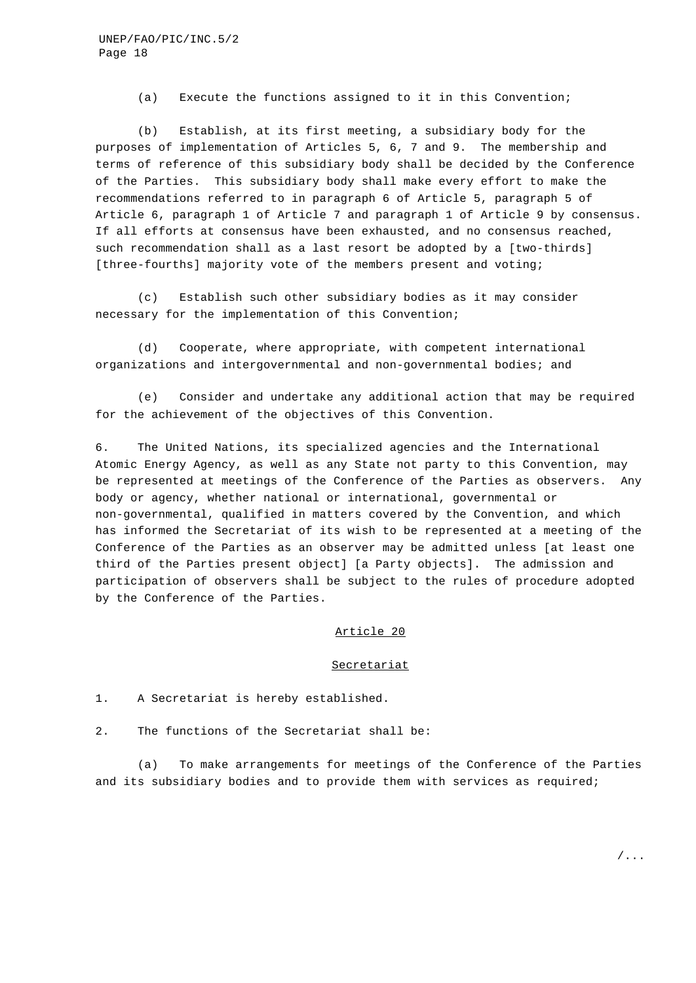(a) Execute the functions assigned to it in this Convention;

(b) Establish, at its first meeting, a subsidiary body for the purposes of implementation of Articles 5, 6, 7 and 9. The membership and terms of reference of this subsidiary body shall be decided by the Conference of the Parties. This subsidiary body shall make every effort to make the recommendations referred to in paragraph 6 of Article 5, paragraph 5 of Article 6, paragraph 1 of Article 7 and paragraph 1 of Article 9 by consensus. If all efforts at consensus have been exhausted, and no consensus reached, such recommendation shall as a last resort be adopted by a [two-thirds] [three-fourths] majority vote of the members present and voting;

(c) Establish such other subsidiary bodies as it may consider necessary for the implementation of this Convention;

(d) Cooperate, where appropriate, with competent international organizations and intergovernmental and non-governmental bodies; and

(e) Consider and undertake any additional action that may be required for the achievement of the objectives of this Convention.

6. The United Nations, its specialized agencies and the International Atomic Energy Agency, as well as any State not party to this Convention, may be represented at meetings of the Conference of the Parties as observers. Any body or agency, whether national or international, governmental or non-governmental, qualified in matters covered by the Convention, and which has informed the Secretariat of its wish to be represented at a meeting of the Conference of the Parties as an observer may be admitted unless [at least one third of the Parties present object] [a Party objects]. The admission and participation of observers shall be subject to the rules of procedure adopted by the Conference of the Parties.

## Article 20

#### **Secretariat**

1. A Secretariat is hereby established.

2. The functions of the Secretariat shall be:

(a) To make arrangements for meetings of the Conference of the Parties and its subsidiary bodies and to provide them with services as required;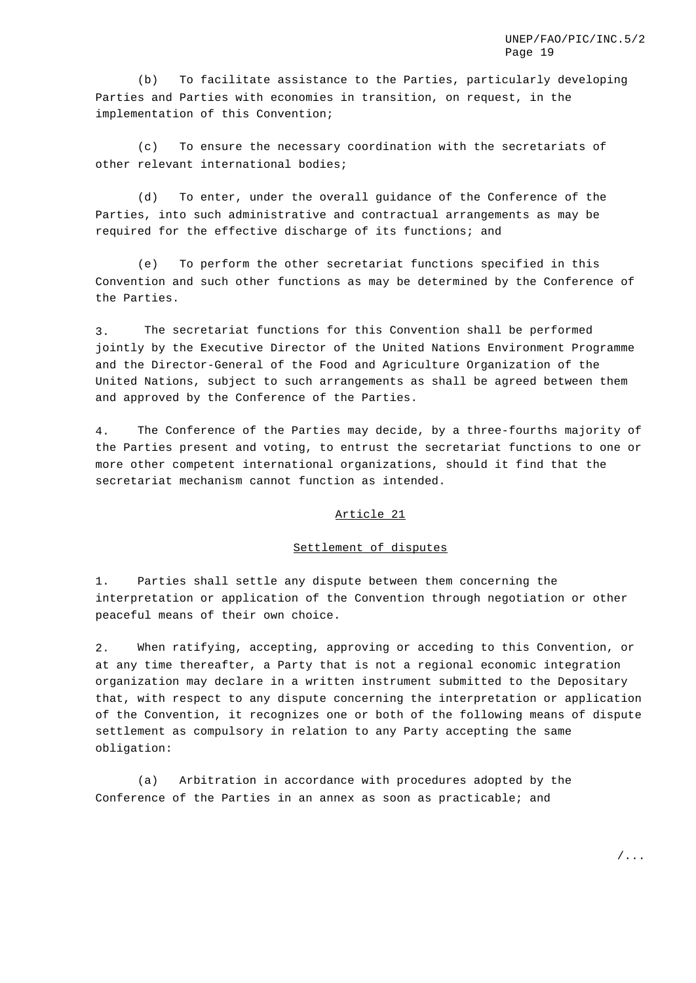(b) To facilitate assistance to the Parties, particularly developing Parties and Parties with economies in transition, on request, in the implementation of this Convention;

(c) To ensure the necessary coordination with the secretariats of other relevant international bodies;

(d) To enter, under the overall guidance of the Conference of the Parties, into such administrative and contractual arrangements as may be required for the effective discharge of its functions; and

(e) To perform the other secretariat functions specified in this Convention and such other functions as may be determined by the Conference of the Parties.

3. The secretariat functions for this Convention shall be performed jointly by the Executive Director of the United Nations Environment Programme and the Director-General of the Food and Agriculture Organization of the United Nations, subject to such arrangements as shall be agreed between them and approved by the Conference of the Parties.

4. The Conference of the Parties may decide, by a three-fourths majority of the Parties present and voting, to entrust the secretariat functions to one or more other competent international organizations, should it find that the secretariat mechanism cannot function as intended.

#### Article 21

#### Settlement of disputes

1. Parties shall settle any dispute between them concerning the interpretation or application of the Convention through negotiation or other peaceful means of their own choice.

2. When ratifying, accepting, approving or acceding to this Convention, or at any time thereafter, a Party that is not a regional economic integration organization may declare in a written instrument submitted to the Depositary that, with respect to any dispute concerning the interpretation or application of the Convention, it recognizes one or both of the following means of dispute settlement as compulsory in relation to any Party accepting the same obligation:

(a) Arbitration in accordance with procedures adopted by the Conference of the Parties in an annex as soon as practicable; and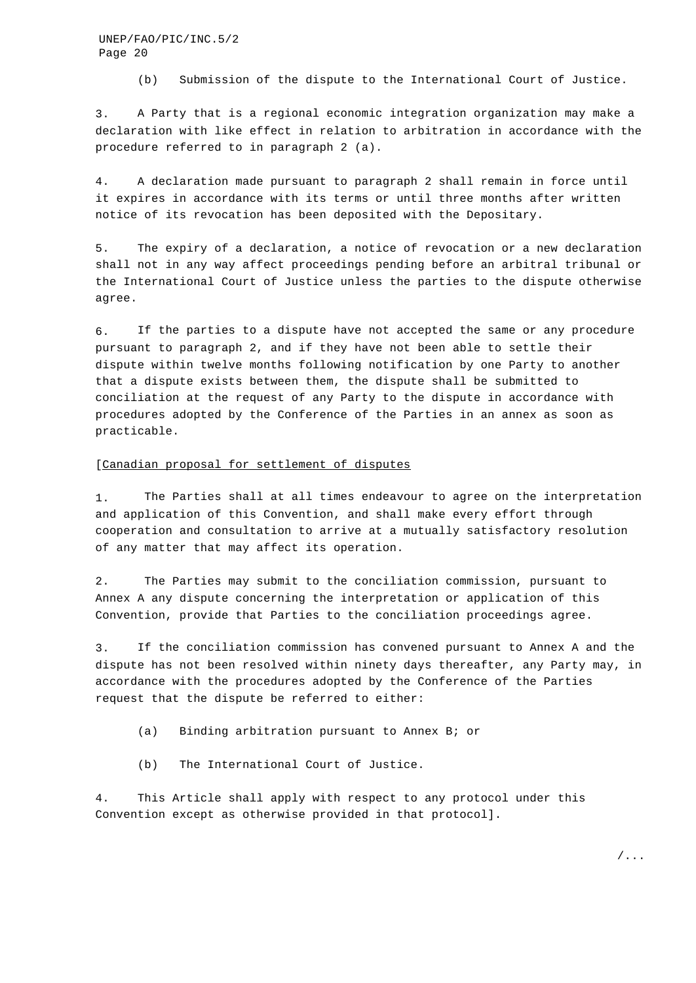(b) Submission of the dispute to the International Court of Justice.

3. A Party that is a regional economic integration organization may make a declaration with like effect in relation to arbitration in accordance with the procedure referred to in paragraph 2 (a).

4. A declaration made pursuant to paragraph 2 shall remain in force until it expires in accordance with its terms or until three months after written notice of its revocation has been deposited with the Depositary.

5. The expiry of a declaration, a notice of revocation or a new declaration shall not in any way affect proceedings pending before an arbitral tribunal or the International Court of Justice unless the parties to the dispute otherwise agree.

6. If the parties to a dispute have not accepted the same or any procedure pursuant to paragraph 2, and if they have not been able to settle their dispute within twelve months following notification by one Party to another that a dispute exists between them, the dispute shall be submitted to conciliation at the request of any Party to the dispute in accordance with procedures adopted by the Conference of the Parties in an annex as soon as practicable.

### [Canadian proposal for settlement of disputes

1. The Parties shall at all times endeavour to agree on the interpretation and application of this Convention, and shall make every effort through cooperation and consultation to arrive at a mutually satisfactory resolution of any matter that may affect its operation.

2. The Parties may submit to the conciliation commission, pursuant to Annex A any dispute concerning the interpretation or application of this Convention, provide that Parties to the conciliation proceedings agree.

3. If the conciliation commission has convened pursuant to Annex A and the dispute has not been resolved within ninety days thereafter, any Party may, in accordance with the procedures adopted by the Conference of the Parties request that the dispute be referred to either:

(a) Binding arbitration pursuant to Annex B; or

(b) The International Court of Justice.

4. This Article shall apply with respect to any protocol under this Convention except as otherwise provided in that protocol].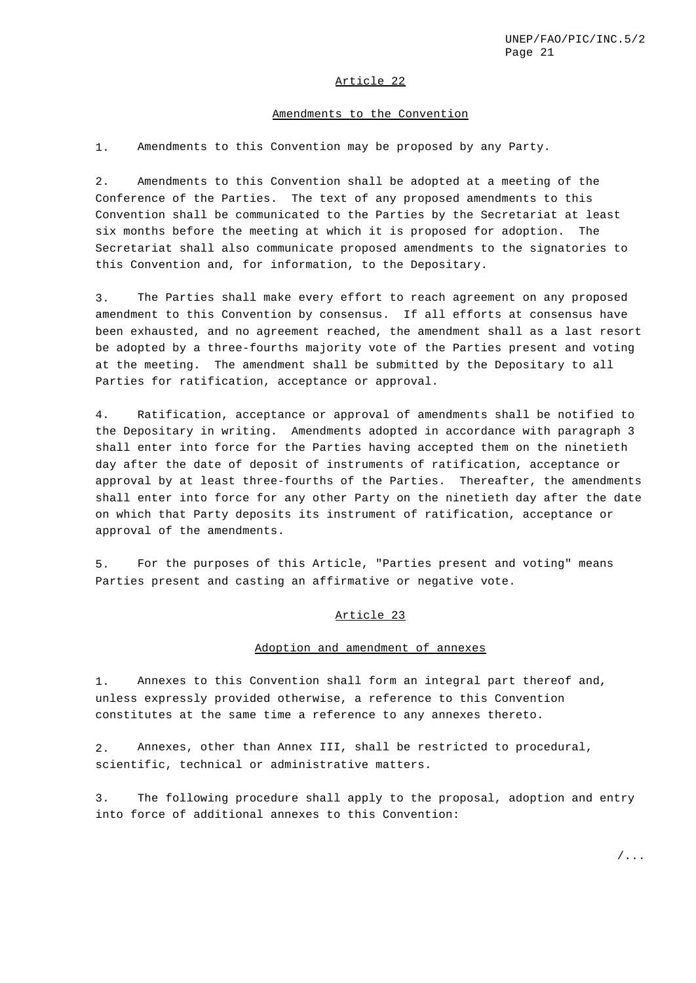### Article 22

#### Amendments to the Convention

1. Amendments to this Convention may be proposed by any Party.

2. Amendments to this Convention shall be adopted at a meeting of the Conference of the Parties. The text of any proposed amendments to this Convention shall be communicated to the Parties by the Secretariat at least six months before the meeting at which it is proposed for adoption. The Secretariat shall also communicate proposed amendments to the signatories to this Convention and, for information, to the Depositary.

3. The Parties shall make every effort to reach agreement on any proposed amendment to this Convention by consensus. If all efforts at consensus have been exhausted, and no agreement reached, the amendment shall as a last resort be adopted by a three-fourths majority vote of the Parties present and voting at the meeting. The amendment shall be submitted by the Depositary to all Parties for ratification, acceptance or approval.

4. Ratification, acceptance or approval of amendments shall be notified to the Depositary in writing. Amendments adopted in accordance with paragraph 3 shall enter into force for the Parties having accepted them on the ninetieth day after the date of deposit of instruments of ratification, acceptance or approval by at least three-fourths of the Parties. Thereafter, the amendments shall enter into force for any other Party on the ninetieth day after the date on which that Party deposits its instrument of ratification, acceptance or approval of the amendments.

5. For the purposes of this Article, "Parties present and voting" means Parties present and casting an affirmative or negative vote.

#### Article 23

#### Adoption and amendment of annexes

1. Annexes to this Convention shall form an integral part thereof and, unless expressly provided otherwise, a reference to this Convention constitutes at the same time a reference to any annexes thereto.

2. Annexes, other than Annex III, shall be restricted to procedural, scientific, technical or administrative matters.

3. The following procedure shall apply to the proposal, adoption and entry into force of additional annexes to this Convention: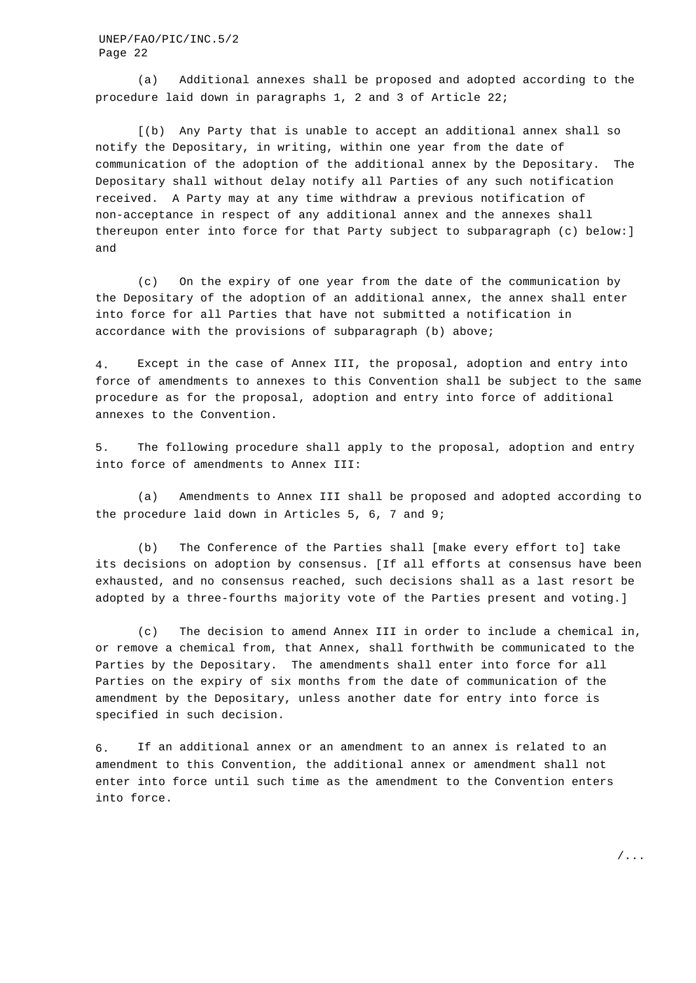(a) Additional annexes shall be proposed and adopted according to the procedure laid down in paragraphs 1, 2 and 3 of Article 22;

[(b) Any Party that is unable to accept an additional annex shall so notify the Depositary, in writing, within one year from the date of communication of the adoption of the additional annex by the Depositary. The Depositary shall without delay notify all Parties of any such notification received. A Party may at any time withdraw a previous notification of non-acceptance in respect of any additional annex and the annexes shall thereupon enter into force for that Party subject to subparagraph (c) below:] and

(c) On the expiry of one year from the date of the communication by the Depositary of the adoption of an additional annex, the annex shall enter into force for all Parties that have not submitted a notification in accordance with the provisions of subparagraph (b) above;

4. Except in the case of Annex III, the proposal, adoption and entry into force of amendments to annexes to this Convention shall be subject to the same procedure as for the proposal, adoption and entry into force of additional annexes to the Convention.

5. The following procedure shall apply to the proposal, adoption and entry into force of amendments to Annex III:

(a) Amendments to Annex III shall be proposed and adopted according to the procedure laid down in Articles 5, 6, 7 and 9;

(b) The Conference of the Parties shall [make every effort to] take its decisions on adoption by consensus. [If all efforts at consensus have been exhausted, and no consensus reached, such decisions shall as a last resort be adopted by a three-fourths majority vote of the Parties present and voting.]

(c) The decision to amend Annex III in order to include a chemical in, or remove a chemical from, that Annex, shall forthwith be communicated to the Parties by the Depositary. The amendments shall enter into force for all Parties on the expiry of six months from the date of communication of the amendment by the Depositary, unless another date for entry into force is specified in such decision.

6. If an additional annex or an amendment to an annex is related to an amendment to this Convention, the additional annex or amendment shall not enter into force until such time as the amendment to the Convention enters into force.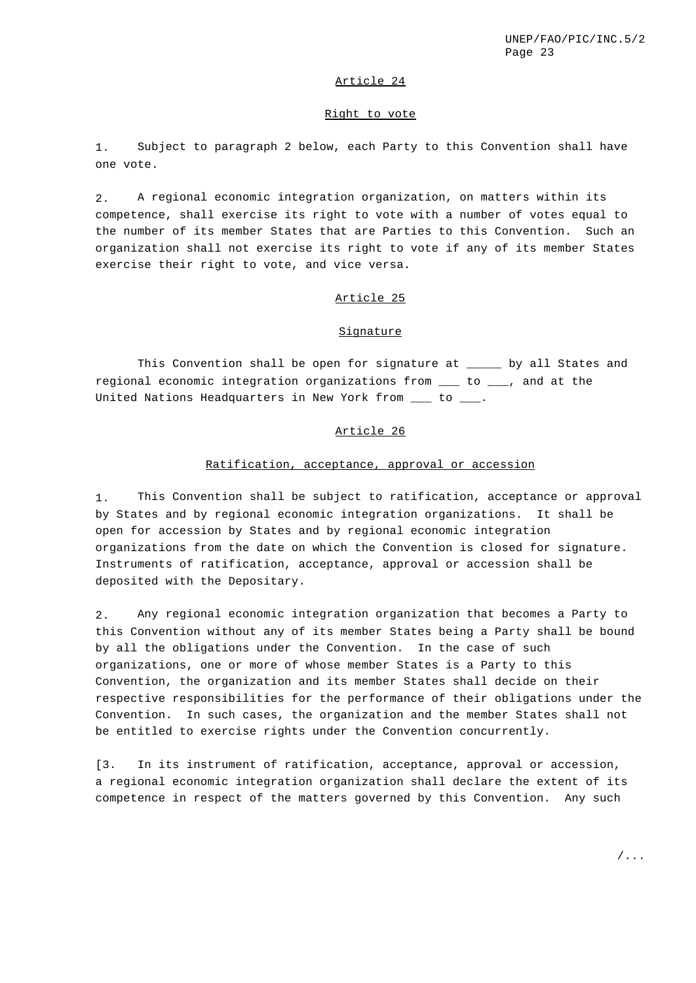## Article 24

#### Right to vote

1. Subject to paragraph 2 below, each Party to this Convention shall have one vote.

2. A regional economic integration organization, on matters within its competence, shall exercise its right to vote with a number of votes equal to the number of its member States that are Parties to this Convention. Such an organization shall not exercise its right to vote if any of its member States exercise their right to vote, and vice versa.

## Article 25

### Signature

This Convention shall be open for signature at \_\_\_\_\_ by all States and regional economic integration organizations from \_\_\_ to \_\_\_, and at the United Nations Headquarters in New York from \_\_\_ to \_\_\_.

### Article 26

### Ratification, acceptance, approval or accession

1. This Convention shall be subject to ratification, acceptance or approval by States and by regional economic integration organizations. It shall be open for accession by States and by regional economic integration organizations from the date on which the Convention is closed for signature. Instruments of ratification, acceptance, approval or accession shall be deposited with the Depositary.

2. Any regional economic integration organization that becomes a Party to this Convention without any of its member States being a Party shall be bound by all the obligations under the Convention. In the case of such organizations, one or more of whose member States is a Party to this Convention, the organization and its member States shall decide on their respective responsibilities for the performance of their obligations under the Convention. In such cases, the organization and the member States shall not be entitled to exercise rights under the Convention concurrently.

[3. In its instrument of ratification, acceptance, approval or accession, a regional economic integration organization shall declare the extent of its competence in respect of the matters governed by this Convention. Any such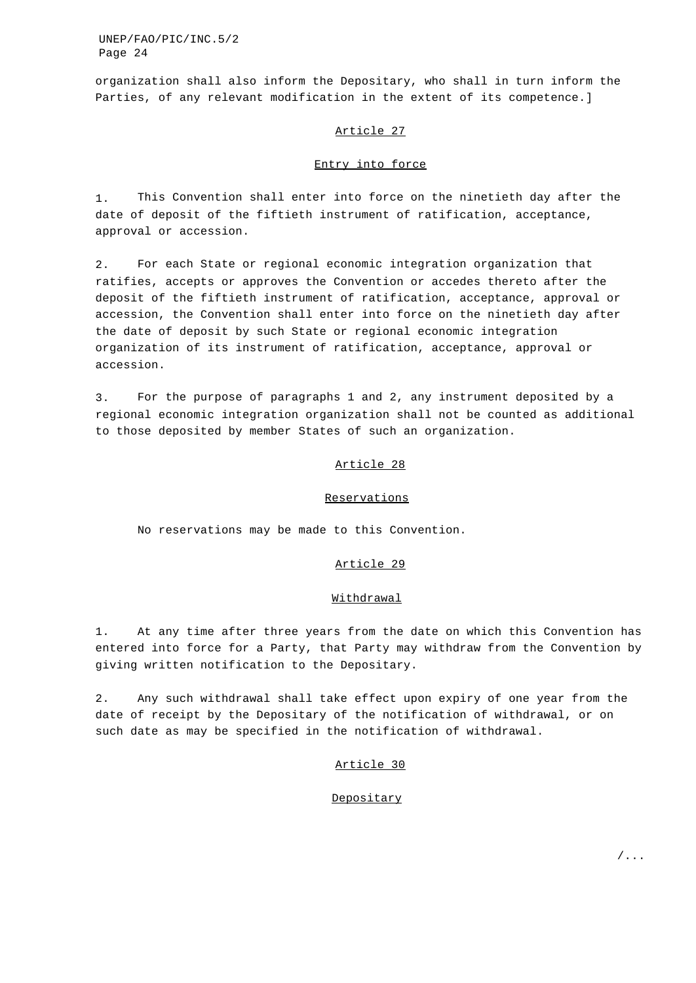organization shall also inform the Depositary, who shall in turn inform the Parties, of any relevant modification in the extent of its competence.]

### Article 27

### Entry into force

1. This Convention shall enter into force on the ninetieth day after the date of deposit of the fiftieth instrument of ratification, acceptance, approval or accession.

2. For each State or regional economic integration organization that ratifies, accepts or approves the Convention or accedes thereto after the deposit of the fiftieth instrument of ratification, acceptance, approval or accession, the Convention shall enter into force on the ninetieth day after the date of deposit by such State or regional economic integration organization of its instrument of ratification, acceptance, approval or accession.

3. For the purpose of paragraphs 1 and 2, any instrument deposited by a regional economic integration organization shall not be counted as additional to those deposited by member States of such an organization.

### Article 28

#### **Reservations**

No reservations may be made to this Convention.

## Article 29

#### Withdrawal

1. At any time after three years from the date on which this Convention has entered into force for a Party, that Party may withdraw from the Convention by giving written notification to the Depositary.

2. Any such withdrawal shall take effect upon expiry of one year from the date of receipt by the Depositary of the notification of withdrawal, or on such date as may be specified in the notification of withdrawal.

#### Article 30

#### **Depositary**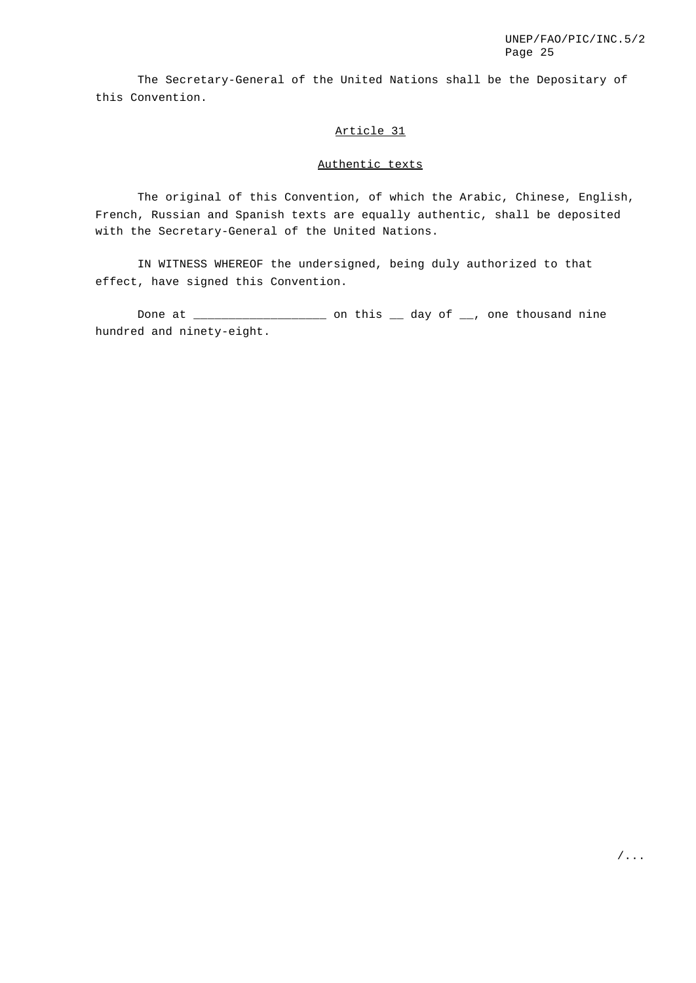The Secretary-General of the United Nations shall be the Depositary of this Convention.

## Article 31

## Authentic texts

The original of this Convention, of which the Arabic, Chinese, English, French, Russian and Spanish texts are equally authentic, shall be deposited with the Secretary-General of the United Nations.

IN WITNESS WHEREOF the undersigned, being duly authorized to that effect, have signed this Convention.

Done at \_\_\_\_\_\_\_\_\_\_\_\_\_\_\_\_\_\_\_ on this \_\_ day of \_\_, one thousand nine hundred and ninety-eight.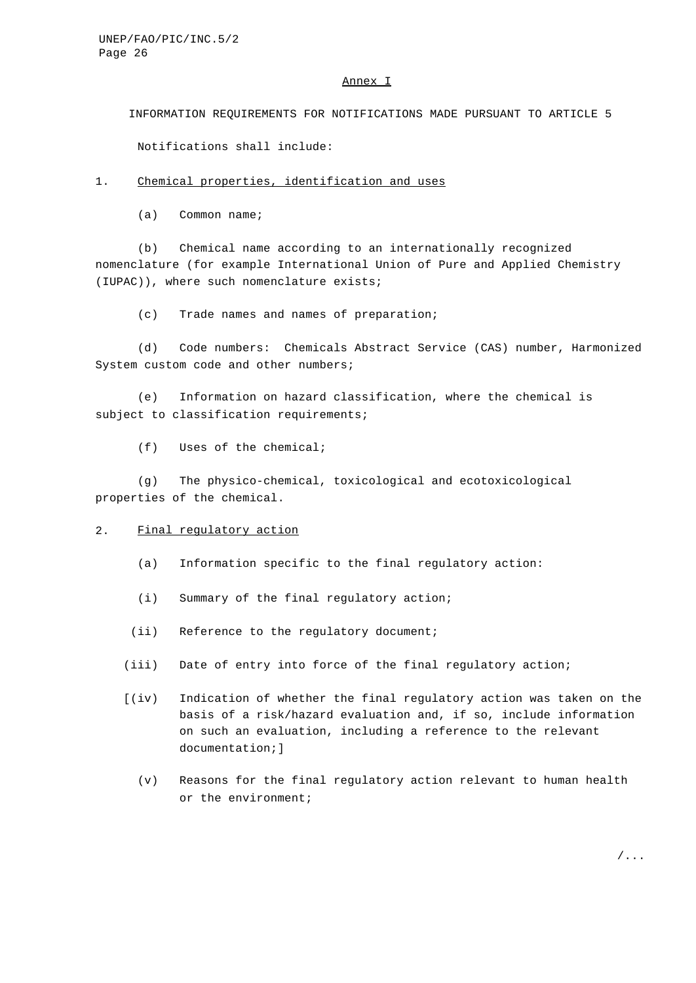### Annex I

INFORMATION REQUIREMENTS FOR NOTIFICATIONS MADE PURSUANT TO ARTICLE 5

Notifications shall include:

### 1. Chemical properties, identification and uses

(a) Common name;

(b) Chemical name according to an internationally recognized nomenclature (for example International Union of Pure and Applied Chemistry (IUPAC)), where such nomenclature exists;

(c) Trade names and names of preparation;

(d) Code numbers: Chemicals Abstract Service (CAS) number, Harmonized System custom code and other numbers;

(e) Information on hazard classification, where the chemical is subject to classification requirements;

(f) Uses of the chemical;

(g) The physico-chemical, toxicological and ecotoxicological properties of the chemical.

### 2. Final regulatory action

- (a) Information specific to the final regulatory action:
- (i) Summary of the final regulatory action;
- (ii) Reference to the regulatory document;
- (iii) Date of entry into force of the final regulatory action;
- [(iv) Indication of whether the final regulatory action was taken on the basis of a risk/hazard evaluation and, if so, include information on such an evaluation, including a reference to the relevant documentation;]
	- (v) Reasons for the final regulatory action relevant to human health or the environment;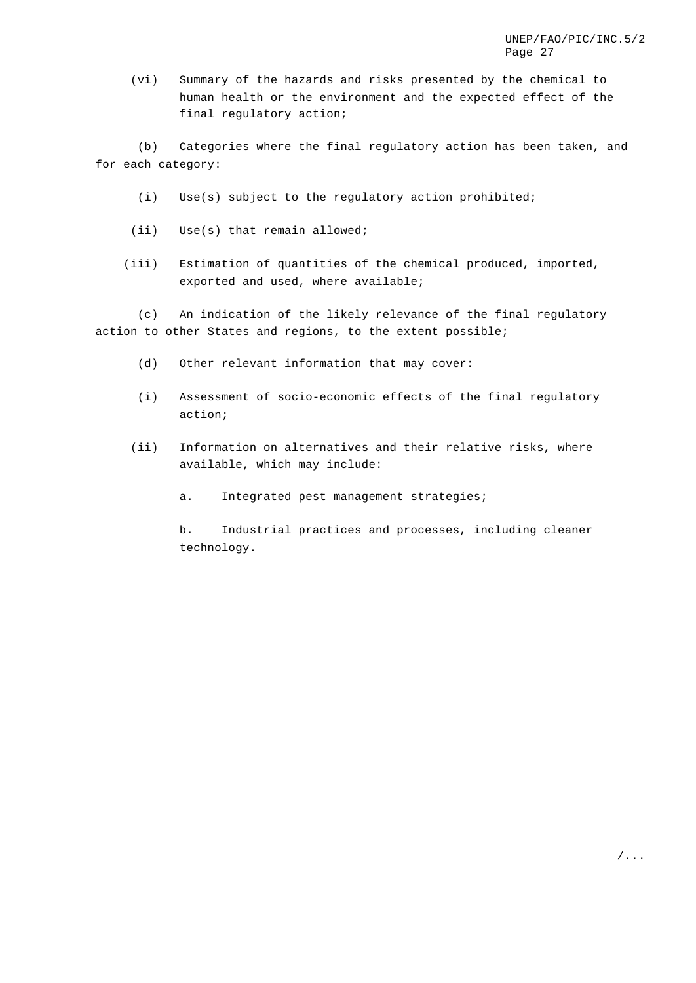(vi) Summary of the hazards and risks presented by the chemical to human health or the environment and the expected effect of the final regulatory action;

(b) Categories where the final regulatory action has been taken, and for each category:

- (i) Use(s) subject to the regulatory action prohibited;
- (ii) Use(s) that remain allowed;
- (iii) Estimation of quantities of the chemical produced, imported, exported and used, where available;

(c) An indication of the likely relevance of the final regulatory action to other States and regions, to the extent possible;

- (d) Other relevant information that may cover:
- (i) Assessment of socio-economic effects of the final regulatory action;
- (ii) Information on alternatives and their relative risks, where available, which may include:
	- a. Integrated pest management strategies;

b. Industrial practices and processes, including cleaner technology.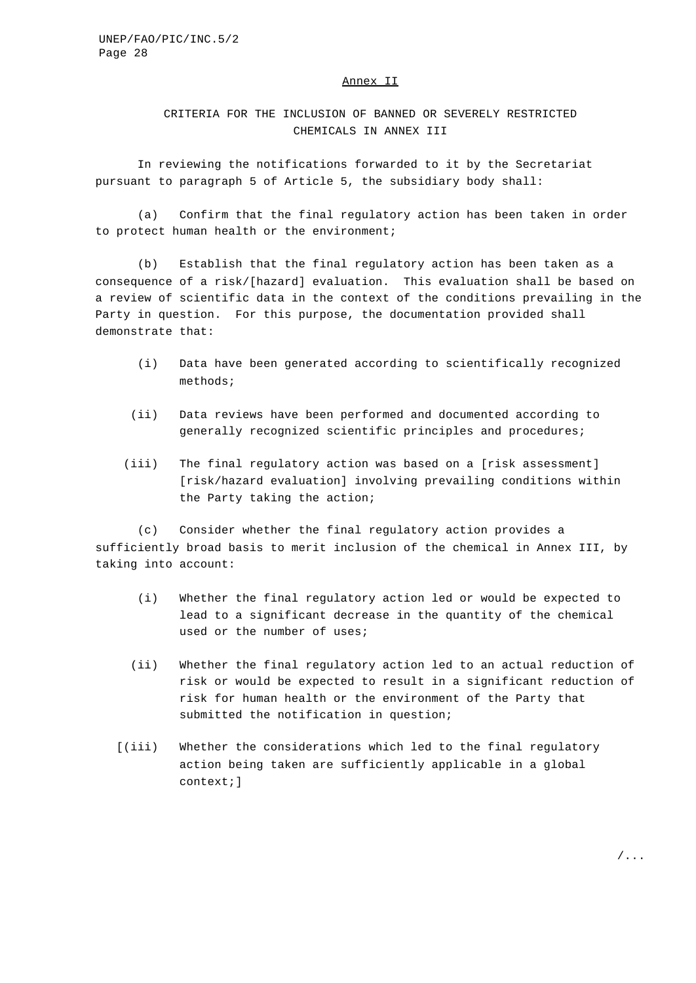## Annex II

CRITERIA FOR THE INCLUSION OF BANNED OR SEVERELY RESTRICTED CHEMICALS IN ANNEX III

In reviewing the notifications forwarded to it by the Secretariat pursuant to paragraph 5 of Article 5, the subsidiary body shall:

(a) Confirm that the final regulatory action has been taken in order to protect human health or the environment;

(b) Establish that the final regulatory action has been taken as a consequence of a risk/[hazard] evaluation. This evaluation shall be based on a review of scientific data in the context of the conditions prevailing in the Party in question. For this purpose, the documentation provided shall demonstrate that:

- (i) Data have been generated according to scientifically recognized methods;
- (ii) Data reviews have been performed and documented according to generally recognized scientific principles and procedures;
- (iii) The final regulatory action was based on a [risk assessment] [risk/hazard evaluation] involving prevailing conditions within the Party taking the action;

(c) Consider whether the final regulatory action provides a sufficiently broad basis to merit inclusion of the chemical in Annex III, by taking into account:

- (i) Whether the final regulatory action led or would be expected to lead to a significant decrease in the quantity of the chemical used or the number of uses;
- (ii) Whether the final regulatory action led to an actual reduction of risk or would be expected to result in a significant reduction of risk for human health or the environment of the Party that submitted the notification in question;
- [(iii) Whether the considerations which led to the final regulatory action being taken are sufficiently applicable in a global context;]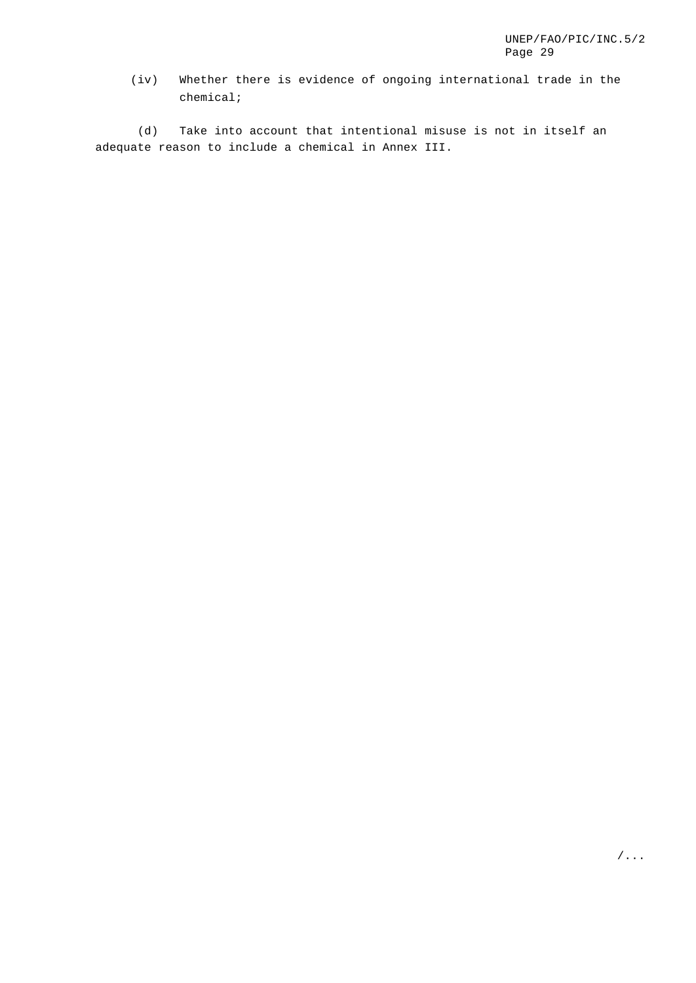(iv) Whether there is evidence of ongoing international trade in the chemical;

(d) Take into account that intentional misuse is not in itself an adequate reason to include a chemical in Annex III.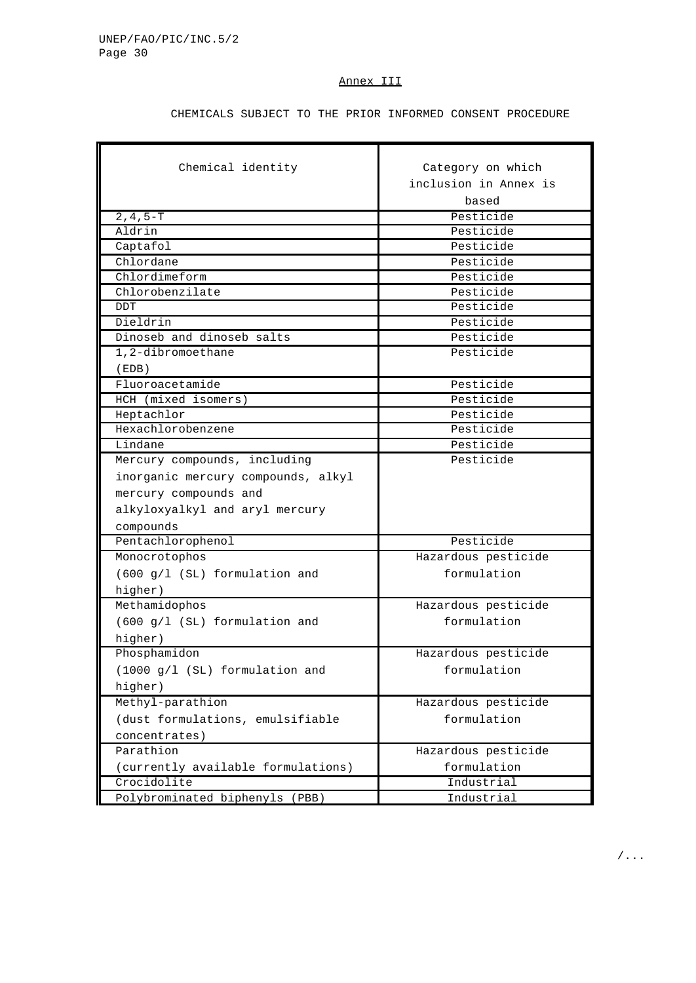### Annex III

CHEMICALS SUBJECT TO THE PRIOR INFORMED CONSENT PROCEDURE

| Chemical identity                  | Category on which     |
|------------------------------------|-----------------------|
|                                    | inclusion in Annex is |
|                                    | based                 |
| $2, 4, 5-T$                        | Pesticide             |
| Aldrin                             | Pesticide             |
| Captafol                           | Pesticide             |
| Chlordane                          | Pesticide             |
| Chlordimeform                      | Pesticide             |
| Chlorobenzilate                    | Pesticide             |
| <b>DDT</b>                         | Pesticide             |
| Dieldrin                           | Pesticide             |
| Dinoseb and dinoseb salts          | Pesticide             |
| 1,2-dibromoethane                  | Pesticide             |
| (EDB)                              |                       |
| Fluoroacetamide                    | Pesticide             |
| HCH (mixed isomers)                | Pesticide             |
| Heptachlor                         | Pesticide             |
| Hexachlorobenzene                  | Pesticide             |
| Lindane                            | Pesticide             |
| Mercury compounds, including       | Pesticide             |
| inorganic mercury compounds, alkyl |                       |
| mercury compounds and              |                       |
| alkyloxyalkyl and aryl mercury     |                       |
| compounds                          |                       |
| Pentachlorophenol                  | Pesticide             |
| Monocrotophos                      | Hazardous pesticide   |
| (600 g/l (SL) formulation and      | formulation           |
| higher)                            |                       |
| Methamidophos                      | Hazardous pesticide   |
| (600 g/l (SL) formulation and      | formulation           |
| higher)                            |                       |
| Phosphamidon                       | Hazardous pesticide   |
| $(1000 g/l$ (SL) formulation and   | formulation           |
|                                    |                       |
| higher)                            |                       |
| Methyl-parathion                   | Hazardous pesticide   |
| (dust formulations, emulsifiable   | formulation           |
| concentrates)                      |                       |
| Parathion                          | Hazardous pesticide   |
| (currently available formulations) | formulation           |
| Crocidolite                        | Industrial            |
| Polybrominated biphenyls (PBB)     | <u>Industrial</u>     |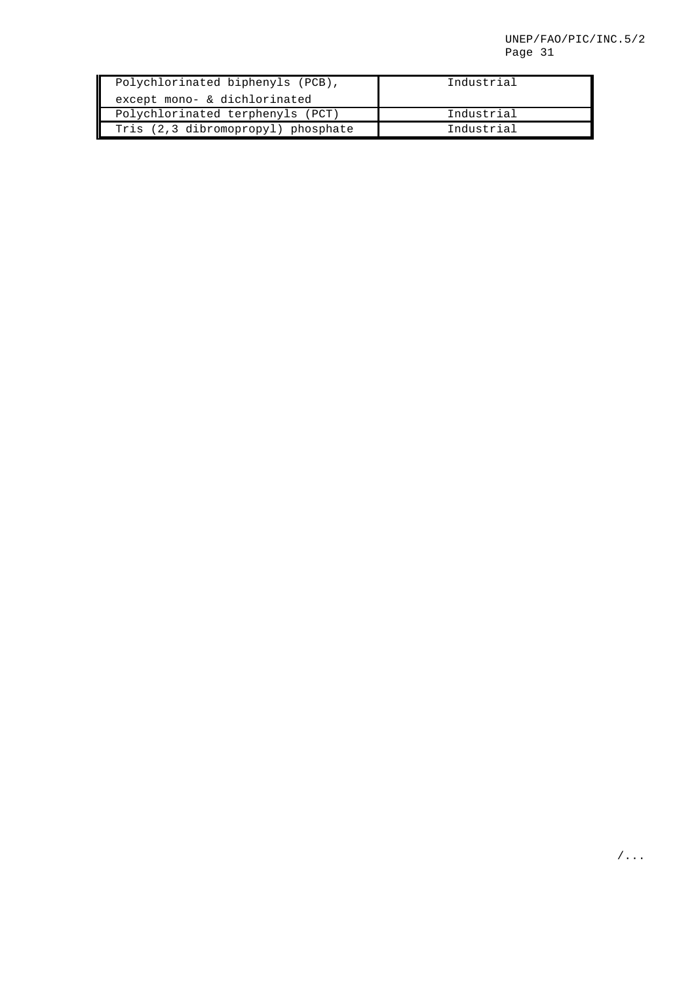| Polychlorinated biphenyls (PCB),   | Industrial |
|------------------------------------|------------|
| except mono- & dichlorinated       |            |
| Polychlorinated terphenyls (PCT)   | Industrial |
| Tris (2,3 dibromopropyl) phosphate | Industrial |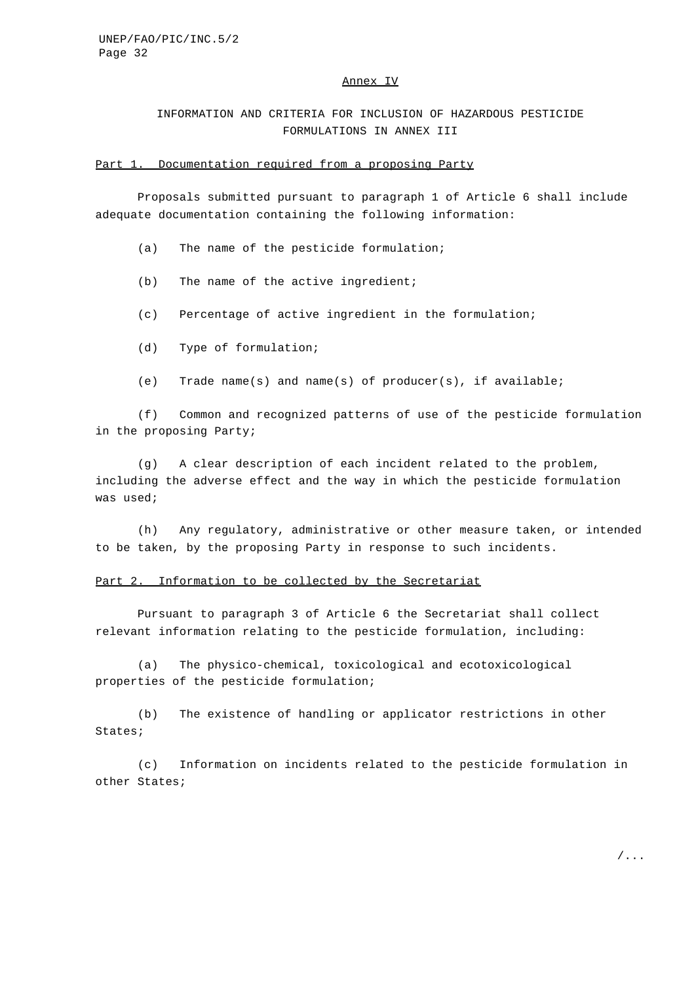### Annex IV

INFORMATION AND CRITERIA FOR INCLUSION OF HAZARDOUS PESTICIDE FORMULATIONS IN ANNEX III

#### Part 1. Documentation required from a proposing Party

Proposals submitted pursuant to paragraph 1 of Article 6 shall include adequate documentation containing the following information:

- (a) The name of the pesticide formulation;
- (b) The name of the active ingredient;
- (c) Percentage of active ingredient in the formulation;
- (d) Type of formulation;
- (e) Trade name(s) and name(s) of producer(s), if available;

(f) Common and recognized patterns of use of the pesticide formulation in the proposing Party;

(g) A clear description of each incident related to the problem, including the adverse effect and the way in which the pesticide formulation was used;

(h) Any regulatory, administrative or other measure taken, or intended to be taken, by the proposing Party in response to such incidents.

## Part 2. Information to be collected by the Secretariat

Pursuant to paragraph 3 of Article 6 the Secretariat shall collect relevant information relating to the pesticide formulation, including:

(a) The physico-chemical, toxicological and ecotoxicological properties of the pesticide formulation;

(b) The existence of handling or applicator restrictions in other States;

(c) Information on incidents related to the pesticide formulation in other States;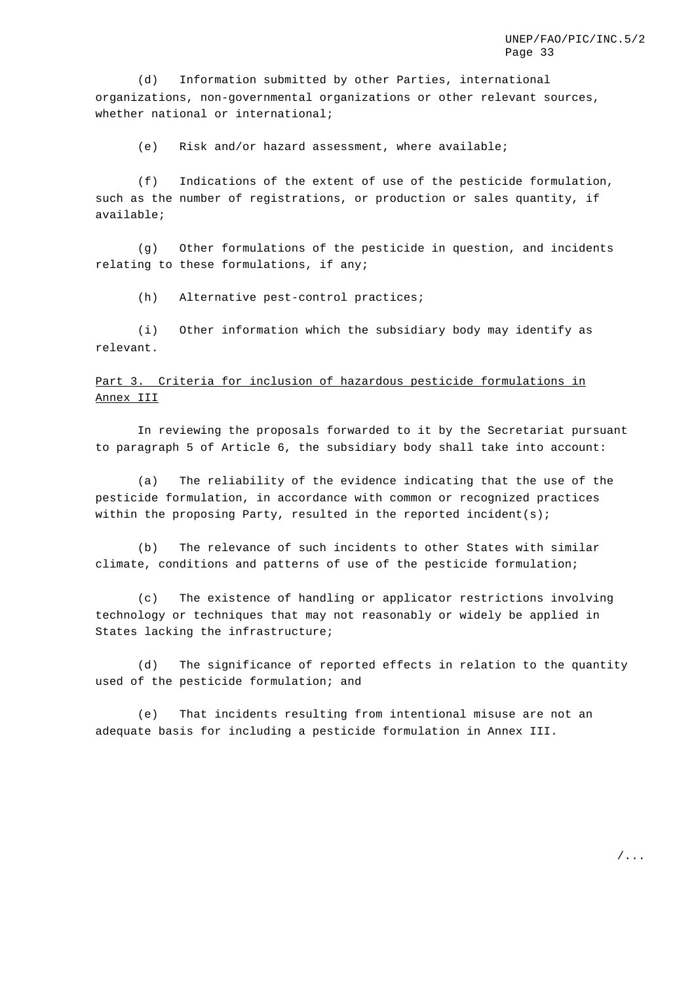(d) Information submitted by other Parties, international organizations, non-governmental organizations or other relevant sources, whether national or international;

(e) Risk and/or hazard assessment, where available;

(f) Indications of the extent of use of the pesticide formulation, such as the number of registrations, or production or sales quantity, if available;

(g) Other formulations of the pesticide in question, and incidents relating to these formulations, if any;

(h) Alternative pest-control practices;

(i) Other information which the subsidiary body may identify as relevant.

# Part 3. Criteria for inclusion of hazardous pesticide formulations in Annex III

In reviewing the proposals forwarded to it by the Secretariat pursuant to paragraph 5 of Article 6, the subsidiary body shall take into account:

(a) The reliability of the evidence indicating that the use of the pesticide formulation, in accordance with common or recognized practices within the proposing Party, resulted in the reported incident(s);

(b) The relevance of such incidents to other States with similar climate, conditions and patterns of use of the pesticide formulation;

(c) The existence of handling or applicator restrictions involving technology or techniques that may not reasonably or widely be applied in States lacking the infrastructure;

(d) The significance of reported effects in relation to the quantity used of the pesticide formulation; and

(e) That incidents resulting from intentional misuse are not an adequate basis for including a pesticide formulation in Annex III.